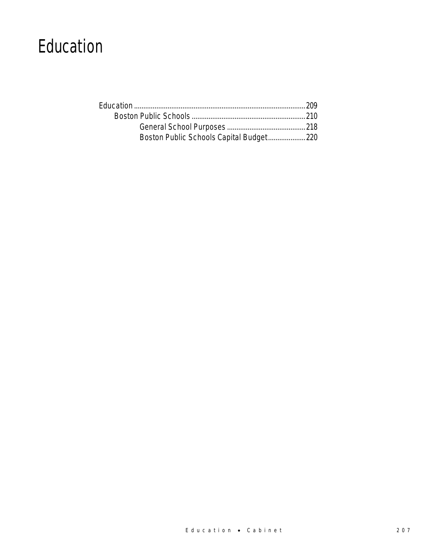# Education

| Boston Public Schools Capital Budget220 |  |
|-----------------------------------------|--|
|                                         |  |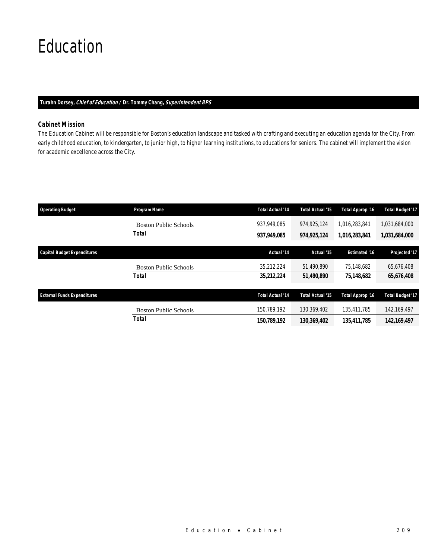# Education

#### *Turahn Dorsey, Chief of Education / Dr. Tommy Chang, Superintendent BPS*

# *Cabinet Mission*

The Education Cabinet will be responsible for Boston's education landscape and tasked with crafting and executing an education agenda for the City. From early childhood education, to kindergarten, to junior high, to higher learning institutions, to educations for seniors. The cabinet will implement the vision for academic excellence across the City.

| <b>Operating Budget</b>            | Program Name                 | <b>Total Actual '14</b> | Total Actual '15 | Total Approp '16     | <b>Total Budget '17</b> |
|------------------------------------|------------------------------|-------------------------|------------------|----------------------|-------------------------|
|                                    | <b>Boston Public Schools</b> | 937,949,085             | 974,925,124      | 1,016,283,841        | 1,031,684,000           |
|                                    | Total                        | 937,949,085             | 974,925,124      | 1,016,283,841        | 1,031,684,000           |
| <b>Capital Budget Expenditures</b> |                              | Actual '14              | Actual '15       | <b>Estimated '16</b> | Projected '17           |
|                                    | <b>Boston Public Schools</b> | 35,212,224              | 51.490.890       | 75.148.682           | 65,676,408              |
|                                    | Total                        | 35,212,224              | 51,490,890       | 75.148.682           | 65,676,408              |
| <b>External Funds Expenditures</b> |                              | <b>Total Actual '14</b> | Total Actual '15 | Total Approp '16     | <b>Total Budget '17</b> |
|                                    |                              |                         |                  |                      |                         |
|                                    | <b>Boston Public Schools</b> | 150.789.192             | 130.369.402      | 135,411,785          | 142.169.497             |
|                                    | Total                        | 150,789,192             | 130,369,402      | 135.411.785          | 142.169.497             |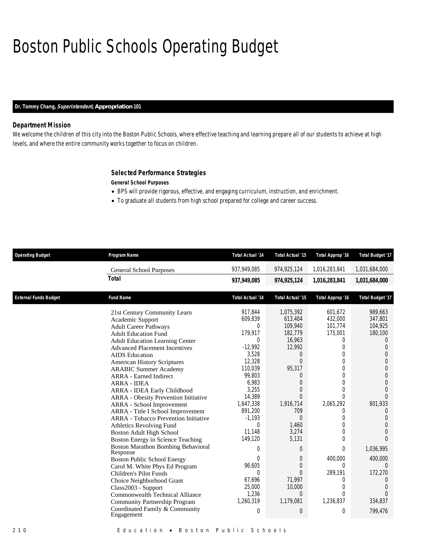# Boston Public Schools Operating Budget

# *Dr. Tommy Chang, Superintendent, Appropriation 101*

### *Department Mission*

We welcome the children of this city into the Boston Public Schools, where effective teaching and learning prepare all of our students to achieve at high levels, and where the entire community works together to focus on children.

### *Selected Performance Strategies*

*General School Purposes* 

- BPS will provide rigorous, effective, and engaging curriculum, instruction, and enrichment.
- To graduate all students from high school prepared for college and career success.

| <b>Operating Budget</b>      | Program Name                                                                                                                                                                                                                                                                                                                                                                                                                                                                                                                                                                                                                                                                                                                                                                                | <b>Total Actual '14</b>                                                                                                                                                                                                                | Total Actual '15                                                                                                                                                                                                                                     | <b>Total Approp '16</b>                                                                                                                                                                                                                                         | <b>Total Budget '17</b>                                                                                                                                                                                                                                                                 |
|------------------------------|---------------------------------------------------------------------------------------------------------------------------------------------------------------------------------------------------------------------------------------------------------------------------------------------------------------------------------------------------------------------------------------------------------------------------------------------------------------------------------------------------------------------------------------------------------------------------------------------------------------------------------------------------------------------------------------------------------------------------------------------------------------------------------------------|----------------------------------------------------------------------------------------------------------------------------------------------------------------------------------------------------------------------------------------|------------------------------------------------------------------------------------------------------------------------------------------------------------------------------------------------------------------------------------------------------|-----------------------------------------------------------------------------------------------------------------------------------------------------------------------------------------------------------------------------------------------------------------|-----------------------------------------------------------------------------------------------------------------------------------------------------------------------------------------------------------------------------------------------------------------------------------------|
|                              | <b>General School Purposes</b>                                                                                                                                                                                                                                                                                                                                                                                                                                                                                                                                                                                                                                                                                                                                                              | 937,949,085                                                                                                                                                                                                                            | 974,925,124                                                                                                                                                                                                                                          | 1,016,283,841                                                                                                                                                                                                                                                   | 1,031,684,000                                                                                                                                                                                                                                                                           |
|                              | <b>Total</b>                                                                                                                                                                                                                                                                                                                                                                                                                                                                                                                                                                                                                                                                                                                                                                                | 937,949,085                                                                                                                                                                                                                            | 974, 925, 124                                                                                                                                                                                                                                        | 1,016,283,841                                                                                                                                                                                                                                                   | 1,031,684,000                                                                                                                                                                                                                                                                           |
| <b>External Funds Budget</b> | <b>Fund Name</b>                                                                                                                                                                                                                                                                                                                                                                                                                                                                                                                                                                                                                                                                                                                                                                            | <b>Total Actual '14</b>                                                                                                                                                                                                                | <b>Total Actual '15</b>                                                                                                                                                                                                                              | <b>Total Approp '16</b>                                                                                                                                                                                                                                         | <b>Total Budget '17</b>                                                                                                                                                                                                                                                                 |
|                              | 21st Century Community Learn<br>Academic Support<br><b>Adult Career Pathways</b><br><b>Adult Education Fund</b><br><b>Adult Education Learning Center</b><br><b>Advanced Placement Incentives</b><br><b>AIDS</b> Education<br><b>American History Scriptures</b><br><b>ARABIC Summer Academy</b><br><b>ARRA</b> - Earned Indirect<br><b>ARRA - IDEA</b><br>ARRA - IDEA Early Childhood<br><b>ARRA</b> - Obesity Prevention Initiative<br>ARRA - School Improvement<br>ARRA - Title I School Improvement<br>ARRA - Tobacco Prevention Initiative<br><b>Athletics Revolving Fund</b><br><b>Boston Adult High School</b><br>Boston Energy in Science Teaching<br><b>Boston Marathon Bombing Behavioral</b><br>Response<br><b>Boston Public School Energy</b><br>Carol M. White Phys Ed Program | 917,844<br>609,839<br>$\Omega$<br>179.917<br>$\Omega$<br>$-12,992$<br>3,528<br>12,328<br>110,039<br>99,803<br>6,983<br>3,255<br>14,389<br>1,647,338<br>891,200<br>$-1,193$<br>0<br>11,148<br>149,120<br>$\Omega$<br>$\Omega$<br>96,605 | 1,075,392<br>613,404<br>109,940<br>182,779<br>16,963<br>12,992<br>$\theta$<br>$\Omega$<br>95,317<br>$\theta$<br>$\overline{0}$<br>$\Omega$<br>$\Omega$<br>1,916,714<br>709<br>$\Omega$<br>1,460<br>3,274<br>5,131<br>$\Omega$<br>0<br>$\overline{0}$ | 601,672<br>432,000<br>101,774<br>175,001<br>$\sigma$<br>0<br>$\theta$<br>$\theta$<br>$\overline{0}$<br>$\theta$<br>$\theta$<br>$\theta$<br>$\Omega$<br>2,065,292<br>$\Omega$<br>$\theta$<br>$\theta$<br>$\theta$<br>$\Omega$<br>$\theta$<br>400,000<br>$\Omega$ | 989,663<br>347,801<br>104,925<br>180,100<br>$\Omega$<br>$\theta$<br>$\overline{0}$<br>$\mathbf 0$<br>$\overline{0}$<br>$\overline{0}$<br>$\mathbf 0$<br>$\Omega$<br>$\Omega$<br>801,933<br>$\theta$<br>$\theta$<br>$\Omega$<br>$\Omega$<br>$\Omega$<br>1,036,995<br>400,000<br>$\Omega$ |
|                              | Children's Pilot Funds<br>Choice Neighborhood Grant<br>Class2003 - Support<br>Commonwealth Technical Alliance<br>Community Partnership Program<br>Coordinated Family & Community<br>Engagement                                                                                                                                                                                                                                                                                                                                                                                                                                                                                                                                                                                              | $\theta$<br>67,696<br>25,000<br>1,236<br>1,260,319<br>$\overline{0}$                                                                                                                                                                   | $\Omega$<br>71,997<br>10,000<br>$\Omega$<br>1,179,081<br>$\theta$                                                                                                                                                                                    | 289,191<br>0<br>$\theta$<br>$\Omega$<br>1,236,837<br>$\overline{0}$                                                                                                                                                                                             | 172,270<br>0<br>$\Omega$<br>$\Omega$<br>334,837<br>799,476                                                                                                                                                                                                                              |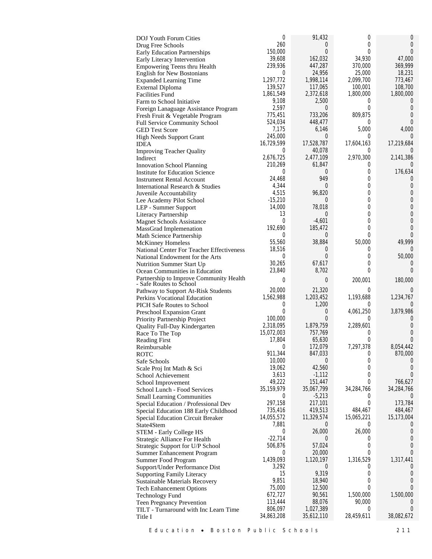| DOJ Youth Forum Cities                                             | 0                    | 91,432             | 0              | 0                   |
|--------------------------------------------------------------------|----------------------|--------------------|----------------|---------------------|
| Drug Free Schools                                                  | 260                  | 0                  | 0              | 0                   |
| <b>Early Education Partnerships</b>                                | 150,000              | $\overline{0}$     | 0              | $\Omega$            |
| Early Literacy Intervention                                        | 39,608               | 162,032            | 34,930         | 47,000              |
| Empowering Teens thru Health                                       | 239,936              | 447,287            | 370,000        | 369,999             |
| <b>English for New Bostonians</b>                                  | 0                    | 24,956             | 25,000         | 18,231              |
| <b>Expanded Learning Time</b>                                      | 1,297,772            | 1,998,114          | 2,099,700      | 773,467             |
| <b>External Diploma</b>                                            | 139,527<br>1,861,549 | 117,065            | 100,001        | 108,700             |
| <b>Facilities Fund</b>                                             | 9,108                | 2,372,618<br>2,500 | 1,800,000<br>0 | 1,800,000<br>$\cup$ |
| Farm to School Initiative                                          | 2,597                | 0                  | 0              | $\theta$            |
| Foreign Lanaguage Assistance Program                               | 775,451              | 733,206            | 809,875        | 0                   |
| Fresh Fruit & Vegetable Program<br>Full Service Community School   | 524,034              | 448,477            | 0              | $\Omega$            |
| <b>GED Test Score</b>                                              | 7,175                | 6,146              | 5,000          | 4,000               |
| <b>High Needs Support Grant</b>                                    | 245,000              | 0                  | 0              | $\Omega$            |
| <b>IDEA</b>                                                        | 16,729,599           | 17,528,787         | 17,604,163     | 17,219,684          |
| <b>Improving Teacher Quality</b>                                   | $\Omega$             | 40,078             | 0              |                     |
| Indirect                                                           | 2,676,725            | 2,477,109          | 2,970,300      | 2,141,386           |
| <b>Innovation School Planning</b>                                  | 210,269              | 61,847             | 0              | $\Omega$            |
| <b>Institute for Education Science</b>                             | 0                    | 0                  | 0              | 176,634             |
| <b>Instrument Rental Account</b>                                   | 24,468               | 949                | 0              | 0                   |
| International Research & Studies                                   | 4,344                | 0                  | 0              | 0                   |
| Juvenile Accountability                                            | 4,515                | 96,820             | 0              | 0                   |
| Lee Academy Pilot School                                           | $-15,210$            | 0                  | 0              | $\overline{0}$      |
| LEP - Summer Support                                               | 14,000               | 78,018             | 0              | $\mathbf 0$         |
| Literacy Partnership                                               | 13                   | 0                  | 0              | $\overline{0}$      |
| <b>Magnet Schools Assistance</b>                                   | 0                    | $-4,601$           | 0              | $\overline{0}$      |
| MassGrad Implemenation                                             | 192.690              | 185,472            | 0              | 0                   |
| Math Science Partnership                                           | $\Omega$             | 0                  | 0              | $\theta$            |
| <b>McKinney Homeless</b>                                           | 55,560               | 38,884             | 50,000         | 49,999              |
| <b>National Center For Teacher Effectiveness</b>                   | 18,516               | 0                  | 0              | $\Omega$            |
| National Endowment for the Arts                                    | 0                    | $\overline{0}$     | $\overline{0}$ | 50,000              |
| <b>Nutrition Summer Start Up</b>                                   | 30,265               | 67,617             | 0              | 0                   |
| Ocean Communities in Education                                     | 23,840               | 8,702              | 0              | $\Omega$            |
| Partnership to Improve Community Health<br>- Safe Routes to School | 0                    | 0                  | 200,001        | 180,000             |
| Pathway to Support At-Risk Students                                | 20,000               | 21,320             | 0              | 0                   |
| Perkins Vocational Education                                       | 1,562,988            | 1,203,452          | 1,193,688      | 1,234,767           |
| PICH Safe Routes to School                                         | 0                    | 1,200              | 0              | $\Omega$            |
| Preschool Expansion Grant                                          | $\overline{0}$       | 0                  | 4,061,250      | 3,879,986           |
| Priority Partnership Project                                       | 100,000              | $\Omega$           | 0              | 0                   |
| Quality Full-Day Kindergarten                                      | 2,318,095            | 1,879,759          | 2,289,601      | 0                   |
| Race To The Top                                                    | 15,072,003           | 757,769            | 0              | 0                   |
| <b>Reading First</b>                                               | 17,804               | 65,630             | 0              | $\Omega$            |
| Reimbursable                                                       | 0                    | 172,079            | 7,297,378      | 8,054,442           |
| ROTC                                                               | 911,344              | 847,033            | 0              | 870,000             |
| Safe Schools                                                       | 10,000               | $\overline{0}$     | 0              | $\left( \right)$    |
| Scale Proj Int Math & Sci                                          | 19,062               | 42,560             | 0              | $\theta$            |
| School Achievement                                                 | 3,613                | $-1,112$           | 0              | $\Omega$            |
| School Improvement                                                 | 49,222               | 151,447            | 0              | 766,627             |
| School Lunch - Food Services                                       | 35,159,979           | 35,067,799         | 34,284,766     | 34,284,766          |
| <b>Small Learning Communities</b>                                  | 0                    | $-5,213$           | 0<br>0         | $\left($            |
| Special Education / Professional Dev                               | 297,158<br>735,416   | 217,101<br>419,513 | 484,467        | 173,784<br>484,467  |
| Special Education 188 Early Childhood                              | 14,055,572           | 11,329,574         | 15,065,221     | 15,173,004          |
| Special Education Circuit Breaker<br>State4Stem                    | 7,881                | 0                  | 0              |                     |
| STEM - Early College HS                                            | 0                    | 26,000             | 26,000         | 0                   |
| Strategic Alliance For Health                                      | $-22,714$            | $\overline{0}$     | 0              | 0                   |
| Strategic Support for U/P School                                   | 506,876              | 57,024             | 0              | $\theta$            |
| Summer Enhancement Program                                         | 0                    | 20,000             | 0              | $\Omega$            |
| Summer Food Program                                                | 1,439,093            | 1,120,197          | 1,316,529      | 1,317,441           |
| Support/Under Performance Dist                                     | 3,292                | $\overline{0}$     | 0              | $\theta$            |
| <b>Supporting Family Literacy</b>                                  | 15                   | 9,319              | 0              | 0                   |
| Sustainable Materials Recovery                                     | 9,851                | 18,940             | 0              | 0                   |
| <b>Tech Enhancement Options</b>                                    | 75,000               | 12,500             | 0              | $\Omega$            |
| <b>Technology Fund</b>                                             | 672,727              | 90,561             | 1,500,000      | 1,500,000           |
| Teen Pregnancy Prevention                                          | 113,444              | 88,076             | 90,000         | $\cup$              |
| TILT - Turnaround with Inc Learn Time                              | 806,097              | 1,027,389          | 0              | $\Omega$            |
| Title I                                                            | 34,863,208           | 35,612,110         | 28,459,611     | 38,082,672          |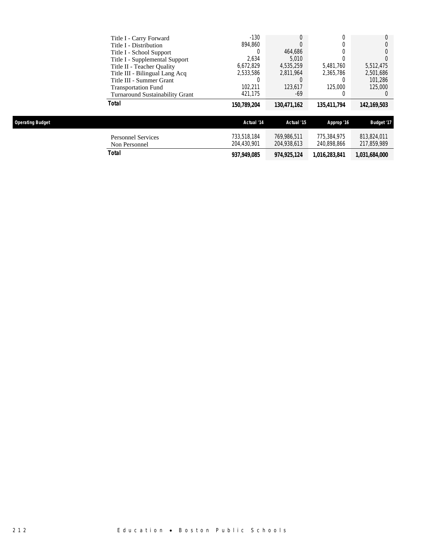| 150,789,204 | 130,471,162 |             | 142,169,503 |
|-------------|-------------|-------------|-------------|
|             |             | 135.411.794 |             |
| 421,175     | -69         |             |             |
| 102.211     | 123,617     | 125,000     | 125,000     |
|             |             | O           | 101.286     |
| 2,533,586   | 2.811.964   | 2.365.786   | 2,501,686   |
| 6,672,829   | 4.535.259   | 5.481.760   | 5,512,475   |
| 2.634       | 5.010       |             |             |
| 0           | 464.686     | 0           |             |
| 894.860     |             |             |             |
| $-130$      |             |             |             |
|             |             |             |             |

| perating Budget |  |  |
|-----------------|--|--|
|                 |  |  |

| <b>Operating Budget</b>                    | Actual '14                 | Actual '15                 | Approp '16                 | <b>Budget '17</b>          |
|--------------------------------------------|----------------------------|----------------------------|----------------------------|----------------------------|
| <b>Personnel Services</b><br>Non Personnel | 733.518.184<br>204.430.901 | 769.986.511<br>204,938,613 | 775.384.975<br>240.898.866 | 813.824.011<br>217,859,989 |
| Total                                      | 937,949,085                | 974,925,124                | 1.016.283.841              | 1,031,684,000              |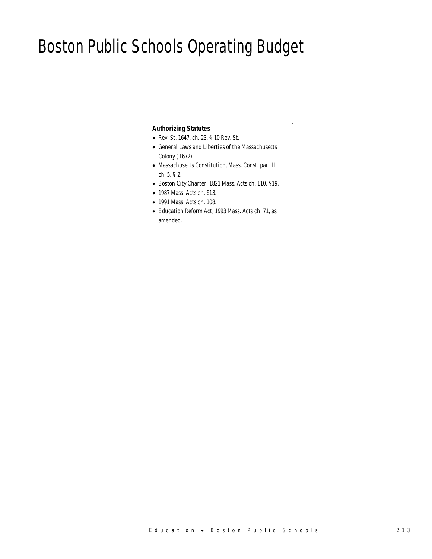# Boston Public Schools Operating Budget

### *Authorizing Statutes*

- Rev. St. 1647, ch. 23, § 10 Rev. St.
- General Laws and Liberties of the Massachusetts Colony (1672).

.

- Massachusetts Constitution, Mass. Const. part II ch. 5, § 2.
- Boston City Charter, 1821 Mass. Acts ch. 110, §19.
- 1987 Mass. Acts ch. 613.
- 1991 Mass. Acts ch. 108.
- Education Reform Act, 1993 Mass. Acts ch. 71, as amended.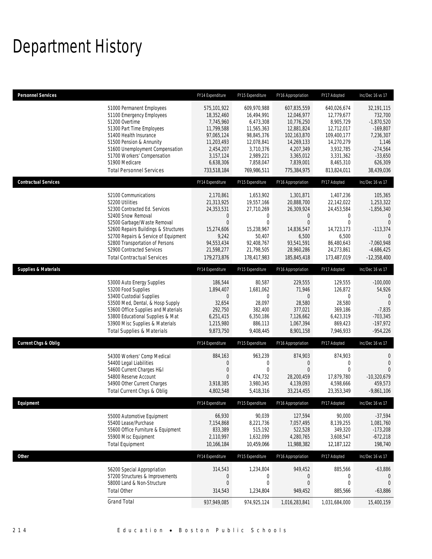# Department History

| <b>Personnel Services</b>       |                                                                                                                                                                                                                                                                                                                    | FY14 Expenditure                                                                                                                       | FY15 Expenditure                                                                                                                       | FY16 Appropriation                                                                                                                       | FY17 Adopted                                                                                                                            | Inc/Dec 16 vs 17                                                                                                              |
|---------------------------------|--------------------------------------------------------------------------------------------------------------------------------------------------------------------------------------------------------------------------------------------------------------------------------------------------------------------|----------------------------------------------------------------------------------------------------------------------------------------|----------------------------------------------------------------------------------------------------------------------------------------|------------------------------------------------------------------------------------------------------------------------------------------|-----------------------------------------------------------------------------------------------------------------------------------------|-------------------------------------------------------------------------------------------------------------------------------|
|                                 | 51000 Permanent Employees<br>51100 Emergency Employees<br>51200 Overtime<br>51300 Part Time Employees<br>51400 Health Insurance<br>51500 Pension & Annunity<br>51600 Unemployment Compensation<br>51700 Workers' Compensation<br>51900 Medicare<br><b>Total Personnel Services</b>                                 | 575,101,922<br>18,352,460<br>7,745,960<br>11,799,588<br>97,065,124<br>11,203,493<br>2,454,207<br>3,157,124<br>6,638,306<br>733,518,184 | 609,970,988<br>16,494,991<br>6,473,308<br>11,565,363<br>98,845,376<br>12,078,841<br>3,710,376<br>2,989,221<br>7,858,047<br>769,986,511 | 607,835,559<br>12,046,977<br>10,776,250<br>12,881,824<br>102,163,870<br>14,269,133<br>4,207,349<br>3,365,012<br>7,839,001<br>775,384,975 | 640,026,674<br>12,779,677<br>8,905,729<br>12,712,017<br>109,400,177<br>14,270,279<br>3,932,785<br>3,331,362<br>8,465,310<br>813,824,011 | 32,191,115<br>732,700<br>$-1,870,520$<br>$-169,807$<br>7,236,307<br>1,146<br>$-274,564$<br>$-33,650$<br>626,309<br>38,439,036 |
| <b>Contractual Services</b>     |                                                                                                                                                                                                                                                                                                                    | FY14 Expenditure                                                                                                                       | FY15 Expenditure                                                                                                                       | FY16 Appropriation                                                                                                                       | FY17 Adopted                                                                                                                            | Inc/Dec 16 vs 17                                                                                                              |
|                                 | 52100 Communications<br>52200 Utilities<br>52300 Contracted Ed. Services<br>52400 Snow Removal<br>52500 Garbage/Waste Removal<br>52600 Repairs Buildings & Structures<br>52700 Repairs & Service of Equipment<br>52800 Transportation of Persons<br>52900 Contracted Services<br><b>Total Contractual Services</b> | 2,170,861<br>21,313,925<br>24,353,531<br>$\mathbf 0$<br>$\mathbf{0}$<br>15,274,606<br>9,242<br>94,553,434<br>21,598,277<br>179,273,876 | 1,653,902<br>19,557,166<br>27,710,269<br>0<br>0<br>15,238,967<br>50,407<br>92,408,767<br>21,798,505<br>178,417,983                     | 1,301,871<br>20,888,700<br>26,309,924<br>$\mathbf 0$<br>$\mathbf{0}$<br>14,836,547<br>6,500<br>93,541,591<br>28,960,286<br>185,845,418   | 1,407,236<br>22,142,022<br>24,453,584<br>0<br>0<br>14,723,173<br>6,500<br>86,480,643<br>24,273,861<br>173,487,019                       | 105,365<br>1,253,322<br>$-1,856,340$<br>$\Omega$<br>$\Omega$<br>$-113,374$<br>$-7,060,948$<br>$-4,686,425$<br>$-12,358,400$   |
| <b>Supplies &amp; Materials</b> |                                                                                                                                                                                                                                                                                                                    | FY14 Expenditure                                                                                                                       | FY15 Expenditure                                                                                                                       | FY16 Appropriation                                                                                                                       | FY17 Adopted                                                                                                                            | Inc/Dec 16 vs 17                                                                                                              |
|                                 | 53000 Auto Energy Supplies<br>53200 Food Supplies<br>53400 Custodial Supplies<br>53500 Med, Dental, & Hosp Supply<br>53600 Office Supplies and Materials<br>53800 Educational Supplies & Mat<br>53900 Misc Supplies & Materials<br><b>Total Supplies &amp; Materials</b>                                           | 186,544<br>1,894,407<br>$\mathbf{0}$<br>32,654<br>292,750<br>6,251,415<br>1,215,980<br>9,873,750                                       | 80,587<br>1,681,062<br>$\theta$<br>28,097<br>382,400<br>6,350,186<br>886,113<br>9,408,445                                              | 229,555<br>71,946<br>$\Omega$<br>28,580<br>377,021<br>7,126,662<br>1,067,394<br>8,901,158                                                | 129,555<br>126,872<br>$\Omega$<br>28,580<br>369,186<br>6,423,319<br>869,423<br>7,946,933                                                | $-100,000$<br>54,926<br>$\overline{0}$<br>$\theta$<br>$-7,835$<br>$-703,345$<br>$-197,972$<br>$-954,226$                      |
| <b>Current Chgs &amp; Oblig</b> |                                                                                                                                                                                                                                                                                                                    | FY14 Expenditure                                                                                                                       | FY15 Expenditure                                                                                                                       | FY16 Appropriation                                                                                                                       | FY17 Adopted                                                                                                                            | Inc/Dec 16 vs 17                                                                                                              |
|                                 | 54300 Workers' Comp Medical<br>54400 Legal Liabilities<br>54600 Current Charges H&I<br>54800 Reserve Account<br>54900 Other Current Charges<br>Total Current Chgs & Oblig                                                                                                                                          | 884,163<br>$\mathbf 0$<br>$\boldsymbol{0}$<br>$\mathbf{0}$<br>3,918,385<br>4,802,548                                                   | 963,239<br>0<br>$\overline{0}$<br>474,732<br>3,980,345<br>5,418,316                                                                    | 874,903<br>$\mathbf 0$<br>$\overline{0}$<br>28,200,459<br>4,139,093<br>33,214,455                                                        | 874,903<br>0<br>0<br>17.879.780<br>4,598,666<br>23,353,349                                                                              | 0<br>$\theta$<br>$\Omega$<br>$-10,320,679$<br>459.573<br>$-9,861,106$                                                         |
| <b>Fauinment</b>                |                                                                                                                                                                                                                                                                                                                    | FY14 Expenditure                                                                                                                       | FY15 Expenditure                                                                                                                       | <b>FY16 Annropriation</b>                                                                                                                | FY17 Adopted                                                                                                                            | Inc/Dec 16 vs 17                                                                                                              |
|                                 | 55000 Automotive Equipment<br>55400 Lease/Purchase<br>55600 Office Furniture & Equipment<br>55900 Misc Equipment<br><b>Total Equipment</b>                                                                                                                                                                         | 66,930<br>7,154,868<br>833.389<br>2,110,997<br>10,166,184                                                                              | 90,039<br>8,221,736<br>515,192<br>1,632,099<br>10,459,066                                                                              | 127,594<br>7,057,495<br>522,528<br>4,280,765<br>11,988,382                                                                               | 90,000<br>8,139,255<br>349,320<br>3,608,547<br>12,187,122                                                                               | $-37,594$<br>1,081,760<br>$-173,208$<br>$-672,218$<br>198,740                                                                 |
| Other                           |                                                                                                                                                                                                                                                                                                                    | FY14 Expenditure                                                                                                                       | FY15 Expenditure                                                                                                                       | FY16 Appropriation                                                                                                                       | FY17 Adopted                                                                                                                            | Inc/Dec 16 vs 17                                                                                                              |
|                                 | 56200 Special Appropriation<br>57200 Structures & Improvements<br>58000 Land & Non-Structure<br><b>Total Other</b>                                                                                                                                                                                                 | 314,543<br>$\boldsymbol{0}$<br>$\boldsymbol{0}$<br>314,543                                                                             | 1,234,804<br>0<br>$\boldsymbol{0}$<br>1,234,804                                                                                        | 949,452<br>0<br>$\boldsymbol{0}$<br>949,452                                                                                              | 885,566<br>0<br>$\mathbf 0$<br>885,566                                                                                                  | $-63,886$<br>$\mathbf{0}$<br>$\theta$<br>$-63,886$                                                                            |
|                                 | <b>Grand Total</b>                                                                                                                                                                                                                                                                                                 | 937,949,085                                                                                                                            | 974,925,124                                                                                                                            | 1,016,283,841                                                                                                                            | 1,031,684,000                                                                                                                           | 15,400,159                                                                                                                    |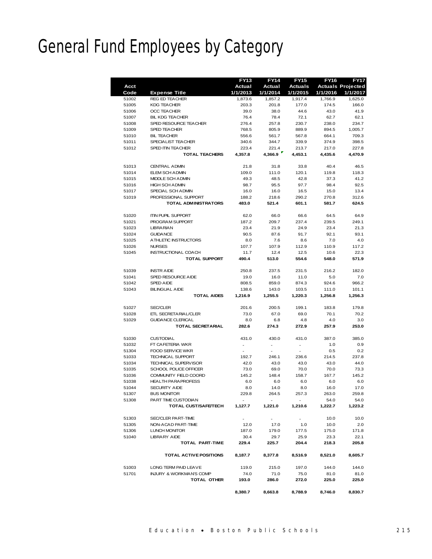# General Fund Employees by Category

|       |                                    | <b>FY13</b>   | <b>FY14</b> | <b>FY15</b>    | <b>FY16</b> | <b>FY17</b>              |
|-------|------------------------------------|---------------|-------------|----------------|-------------|--------------------------|
| Acct  |                                    | <b>Actual</b> | Actual      | <b>Actuals</b> |             | <b>Actuals Projected</b> |
| Code  | <b>Expense Title</b>               | 1/1/2013      | 1/1/2014    | 1/1/2015       | 1/1/2016    | 1/1/2017                 |
| 51002 | <b>REG ED TEACHER</b>              | 1,873.6       | 1,857.2     | 1,917.4        | 1,766.9     | 1,625.0                  |
| 51005 | <b>KDG TEACHER</b>                 | 203.3         | 201.8       | 177.0          | 174.5       | 166.0                    |
| 51006 | <b>OCC TEACHER</b>                 | 39.0          | 38.0        | 44.6           | 43.0        | 41.9                     |
| 51007 | <b>BIL KDG TEACHER</b>             | 76.4          | 78.4        | 72.1           | 62.7        | 62.1                     |
| 51008 | SPED RESOURCE TEACHER              | 276.4         | 257.8       | 230.7          | 238.0       | 234.7                    |
| 51009 | SPED TEACHER                       | 768.5         | 805.9       | 889.9          | 894.5       | 1,005.7                  |
| 51010 | <b>BIL TEACHER</b>                 | 556.6         | 561.7       | 567.8          | 664.1       | 709.3                    |
| 51011 | SPECIALIST TEACHER                 | 340.6         | 344.7       | 339.9          | 374.9       | 398.5                    |
| 51012 | SPED ITIN TEACHER                  | 223.4         | 221.4       | 213.7          | 217.0       | 227.8                    |
|       | <b>TOTAL TEACHERS</b>              |               | 4,366.9     | 4,453.1        |             | 4,470.9                  |
|       |                                    | 4,357.8       |             |                | 4,435.6     |                          |
| 51013 | <b>CENTRAL ADMIN</b>               | 21.8          | 31.8        | 33.8           | 40.4        | 46.5                     |
| 51014 | ELEM SCH ADMIN                     | 109.0         | 111.0       | 120.1          | 119.8       | 118.3                    |
|       |                                    |               |             |                |             |                          |
| 51015 | MIDDLE SCH ADMIN                   | 49.3          | 48.5        | 42.8           | 37.3        | 41.2                     |
| 51016 | <b>HIGH SCH ADMIN</b>              | 98.7          | 95.5        | 97.7           | 98.4        | 92.5                     |
| 51017 | SPECIAL SCH ADMIN                  | 16.0          | 16.0        | 16.5           | 15.0        | 13.4                     |
| 51019 | PROFESSIONAL SUPPORT               | 188.2         | 218.6       | 290.2          | 270.8       | 312.6                    |
|       | <b>TOTAL ADMINISTRATORS</b>        | 483.0         | 521.4       | 601.1          | 581.7       | 624.5                    |
|       |                                    |               |             |                |             |                          |
| 51020 | <b>ITIN PUPIL SUPPORT</b>          | 62.0          | 66.0        | 66.6           | 64.5        | 64.9                     |
| 51021 | PROGRAM SUPPORT                    | 187.2         | 209.7       | 237.4          | 239.5       | 249.1                    |
| 51023 | <b>LIBRA RIAN</b>                  | 23.4          | 21.9        | 24.9           | 23.4        | 21.3                     |
| 51024 | <b>GUIDANCE</b>                    | 90.5          | 87.6        | 91.7           | 92.1        | 93.1                     |
| 51025 | A THLETIC INSTRUCTORS              | 8.0           | 7.6         | 8.6            | 7.0         | 4.0                      |
| 51026 | <b>NURSES</b>                      | 107.7         | 107.9       | 112.9          | 110.9       | 117.2                    |
| 51045 | <b>INSTRUCTIONAL COACH</b>         | 11.7          | 12.4        | 12.5           | 10.6        | 22.3                     |
|       | <b>TOTAL SUPPORT</b>               | 490.4         | 513.0       | 554.6          | 548.0       | 571.9                    |
|       |                                    |               |             |                |             |                          |
| 51039 | <b>INSTRAIDE</b>                   | 250.8         | 237.5       | 231.5          | 216.2       | 182.0                    |
| 51041 | SPED RESOURCE AIDE                 | 19.0          | 16.0        | 11.0           | 5.0         | 7.0                      |
| 51042 | <b>SPED AIDE</b>                   | 808.5         | 859.0       | 874.3          | 924.6       | 966.2                    |
| 51043 | <b>BILINGUAL AIDE</b>              | 138.6         | 143.0       | 103.5          | 111.0       | 101.1                    |
|       | <b>TOTAL AIDES</b>                 | 1,216.9       | 1,255.5     | 1,220.3        | 1,256.8     | 1,256.3                  |
|       |                                    |               |             |                |             |                          |
| 51027 | <b>SEC/CLER</b>                    | 201.6         | 200.5       | 199.1          | 183.8       | 179.8                    |
| 51028 | ETL SECRETARIAL/CLER               | 73.0          | 67.0        | 69.0           | 70.1        | 70.2                     |
| 51029 | <b>GUIDANCE CLERICAL</b>           | 8.0           | 6.8         | 4.8            | 4.0         | 3.0                      |
|       | <b>TOTAL SECRETARIAL</b>           | 282.6         | 274.3       | 272.9          | 257.9       | 253.0                    |
|       |                                    |               |             |                |             |                          |
| 51030 | <b>CUSTODIAL</b>                   | 431.0         | 430.0       | 431.0          | 387.0       | 385.0                    |
| 51032 | FT CAFETERIA WKR                   | $\Box$        | ÷,          | $\blacksquare$ | 1.0         | 0.9                      |
| 51304 | FOOD SERVICE WKR                   |               |             |                | 0.5         | 0.2                      |
| 51033 | <b>TECHNICAL SUPPORT</b>           | 192.7         | 246.1       | 236.6          | 214.5       | 237.8                    |
| 51034 | <b>TECHNICAL SUPERVISOR</b>        | 42.0          | 43.0        | 43.0           | 43.0        | 44.0                     |
| 51035 | SCHOOL POLICE OFFICER              | 73.0          | 69.0        | 70.0           | 70.0        | 73.3                     |
| 51036 | COMMUNITY FIELD COORD              | 145.2         | 148.4       | 158.7          | 167.7       | 145.2                    |
|       | <b>HEALTH PARAPROFESS</b>          |               |             |                |             |                          |
| 51038 |                                    | 6.0           | 6.0         | 6.0            | 6.0         | 6.0                      |
| 51044 | <b>SECURITY AIDE</b>               | 8.0           | 14.0        | 8.0            | 16.0        | 17.0                     |
| 51307 | <b>BUS MONITOR</b>                 | 229.8         | 264.5       | 257.3          | 263.0       | 259.8                    |
| 51308 | PART TIME CUSTODIAN                |               |             |                | 54.0        | 54.0                     |
|       | <b>TOTAL CUST/SAFE/TECH</b>        | 1,127.7       | 1,221.0     | 1,210.6        | 1,222.7     | 1,223.2                  |
|       |                                    |               |             |                |             |                          |
| 51303 | SEC/CLER PART-TIME                 |               |             |                | 10.0        | 10.0                     |
| 51305 | NON-ACAD PART-TIME                 | 12.0          | 17.0        | 1.0            | 10.0        | 2.0                      |
| 51306 | <b>LUNCH MONITOR</b>               | 187.0         | 179.0       | 177.5          | 175.0       | 171.8                    |
| 51040 | <b>LIBRARY AIDE</b>                | 30.4          | 29.7        | 25.9           | 23.3        | 22.1                     |
|       | TOTAL PART-TIME                    | 229.4         | 225.7       | 204.4          | 218.3       | 205.8                    |
|       |                                    |               |             |                |             |                          |
|       | TOTAL ACTIVE POSITIONS             | 8,187.7       | 8,377.8     | 8,516.9        | 8,521.0     | 8,605.7                  |
|       |                                    |               |             |                |             |                          |
| 51003 | LONG TERM PAID LEAVE               | 119.0         | 215.0       | 197.0          | 144.0       | 144.0                    |
| 51701 | <b>INJURY &amp; WORKMAN'S COMP</b> | 74.0          | 71.0        | 75.0           | 81.0        | 81.0                     |
|       | TOTAL OTHER                        | 193.0         | 286.0       | 272.0          | 225.0       | 225.0                    |
|       |                                    |               |             |                |             |                          |
|       |                                    | 8,380.7       | 8,663.8     | 8,788.9        | 8,746.0     | 8,830.7                  |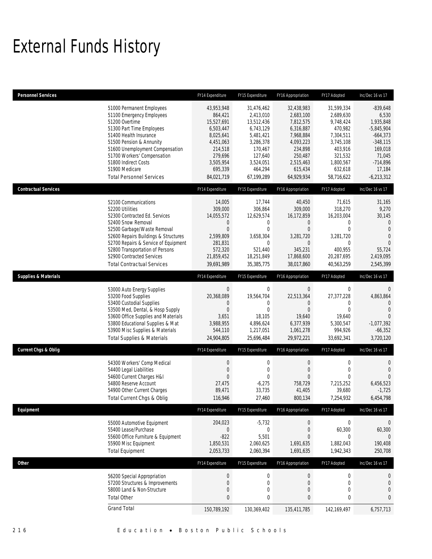# External Funds History

| <b>Personnel Services</b>       |                                                                                                                                                                                                                                                                                                                    | FY14 Expenditure                                                                                                                       | FY15 Expenditure                                                                                                                         | FY16 Appropriation                                                                                                                      | FY17 Adopted                                                                                                                          | Inc/Dec 16 vs 17                                                                                                                          |
|---------------------------------|--------------------------------------------------------------------------------------------------------------------------------------------------------------------------------------------------------------------------------------------------------------------------------------------------------------------|----------------------------------------------------------------------------------------------------------------------------------------|------------------------------------------------------------------------------------------------------------------------------------------|-----------------------------------------------------------------------------------------------------------------------------------------|---------------------------------------------------------------------------------------------------------------------------------------|-------------------------------------------------------------------------------------------------------------------------------------------|
|                                 | 51000 Permanent Employees<br>51100 Emergency Employees<br>51200 Overtime<br>51300 Part Time Employees<br>51400 Health Insurance<br>51500 Pension & Annunity<br>51600 Unemployment Compensation<br>51700 Workers' Compensation<br>51800 Indirect Costs<br>51900 Medicare<br><b>Total Personnel Services</b>         | 43,953,948<br>864,421<br>15,527,691<br>6,503,447<br>8,025,641<br>4,451,063<br>214,518<br>279,696<br>3,505,954<br>695,339<br>84,021,719 | 31,476,462<br>2,413,010<br>13,512,436<br>6,743,129<br>5,481,421<br>3,286,378<br>170,467<br>127,640<br>3,524,051<br>464,294<br>67,199,289 | 32,438,983<br>2,683,100<br>7,812,575<br>6,316,887<br>7,968,884<br>4,093,223<br>234,898<br>250,487<br>2,515,463<br>615,434<br>64,929,934 | 31,599,334<br>2,689,630<br>9,748,424<br>470,982<br>7,304,511<br>3,745,108<br>403,916<br>321,532<br>1,800,567<br>632,618<br>58,716,622 | $-839,648$<br>6,530<br>1,935,848<br>$-5,845,904$<br>$-664,373$<br>$-348,115$<br>169,018<br>71,045<br>$-714,896$<br>17,184<br>$-6,213,312$ |
| <b>Contractual Services</b>     |                                                                                                                                                                                                                                                                                                                    | FY14 Expenditure                                                                                                                       | FY15 Expenditure                                                                                                                         | FY16 Appropriation                                                                                                                      | FY17 Adopted                                                                                                                          | Inc/Dec 16 vs 17                                                                                                                          |
|                                 | 52100 Communications<br>52200 Utilities<br>52300 Contracted Ed. Services<br>52400 Snow Removal<br>52500 Garbage/Waste Removal<br>52600 Repairs Buildings & Structures<br>52700 Repairs & Service of Equipment<br>52800 Transportation of Persons<br>52900 Contracted Services<br><b>Total Contractual Services</b> | 14,005<br>309,000<br>14,055,572<br>0<br>$\mathbf{0}$<br>2,599,809<br>281,831<br>572,320<br>21,859,452<br>39,691,989                    | 17,744<br>306,864<br>12,629,574<br>0<br>$\mathbf{0}$<br>3,658,304<br>$\mathbf{0}$<br>521,440<br>18,251,849<br>35,385,775                 | 40,450<br>309,000<br>16,172,859<br>$\mathbf 0$<br>$\mathbf{0}$<br>3,281,720<br>$\overline{0}$<br>345,231<br>17,868,600<br>38,017,860    | 71,615<br>318,270<br>16,203,004<br>0<br>$\overline{0}$<br>3,281,720<br>0<br>400,955<br>20,287,695<br>40,563,259                       | 31,165<br>9,270<br>30,145<br>$\mathbf{0}$<br>$\theta$<br>$\overline{0}$<br>$\Omega$<br>55,724<br>2,419,095<br>2,545,399                   |
| <b>Supplies &amp; Materials</b> |                                                                                                                                                                                                                                                                                                                    | FY14 Expenditure                                                                                                                       | FY15 Expenditure                                                                                                                         | FY16 Appropriation                                                                                                                      | FY17 Adopted                                                                                                                          | Inc/Dec 16 vs 17                                                                                                                          |
|                                 | 53000 Auto Energy Supplies<br>53200 Food Supplies<br>53400 Custodial Supplies<br>53500 Med, Dental, & Hosp Supply<br>53600 Office Supplies and Materials<br>53800 Educational Supplies & Mat<br>53900 Misc Supplies & Materials<br><b>Total Supplies &amp; Materials</b>                                           | $\mathbf 0$<br>20,368,089<br>0<br>$\mathbf{0}$<br>3,651<br>3,988,955<br>544,110<br>24,904,805                                          | $\mathbf 0$<br>19,564,704<br>0<br>$\mathbf{0}$<br>18,105<br>4,896,624<br>1,217,051<br>25,696,484                                         | $\boldsymbol{0}$<br>22,513,364<br>0<br>$\mathbf{0}$<br>19,640<br>6,377,939<br>1,061,278<br>29,972,221                                   | 0<br>27,377,228<br>0<br>$\overline{0}$<br>19,640<br>5,300,547<br>994,926<br>33,692,341                                                | $\mathbf 0$<br>4,863,864<br>$\overline{0}$<br>$\mathbf{0}$<br>$\overline{0}$<br>$-1,077,392$<br>$-66,352$<br>3,720,120                    |
| <b>Current Chgs &amp; Oblig</b> |                                                                                                                                                                                                                                                                                                                    | FY14 Expenditure                                                                                                                       | FY15 Expenditure                                                                                                                         | FY16 Appropriation                                                                                                                      | FY17 Adopted                                                                                                                          | Inc/Dec 16 vs 17                                                                                                                          |
|                                 | 54300 Workers' Comp Medical<br>54400 Legal Liabilities<br>54600 Current Charges H&I<br>54800 Reserve Account<br>54900 Other Current Charges<br>Total Current Chgs & Oblig                                                                                                                                          | $\boldsymbol{0}$<br>$\boldsymbol{0}$<br>0<br>27,475<br>89,471<br>116,946                                                               | $\mathbf 0$<br>$\mathbf{0}$<br>$\Omega$<br>$-6,275$<br>33,735<br>27,460                                                                  | $\boldsymbol{0}$<br>$\boldsymbol{0}$<br>$\mathbf{0}$<br>758,729<br>41,405<br>800,134                                                    | $\boldsymbol{0}$<br>$\mathbf 0$<br>$\Omega$<br>7,215,252<br>39,680<br>7,254,932                                                       | $\mathbf 0$<br>$\theta$<br>$\overline{0}$<br>6,456,523<br>$-1,725$<br>6,454,798                                                           |
| Equipment                       |                                                                                                                                                                                                                                                                                                                    | FY14 Expenditure                                                                                                                       | FY15 Expenditure                                                                                                                         | FY16 Appropriation                                                                                                                      | FY17 Adopted                                                                                                                          | Inc/Dec 16 vs 17                                                                                                                          |
|                                 | 55000 Automotive Equipment<br>55400 Lease/Purchase<br>55600 Office Furniture & Equipment<br>55900 Misc Equipment<br><b>Total Equipment</b>                                                                                                                                                                         | 204,023<br>$\boldsymbol{0}$<br>$-822$<br>1,850,531<br>2,053,733                                                                        | $-5,732$<br>$\bf 0$<br>5,501<br>2,060,625<br>2,060,394                                                                                   | $\boldsymbol{0}$<br>$\boldsymbol{0}$<br>$\overline{0}$<br>1,691,635<br>1,691,635                                                        | $\boldsymbol{0}$<br>60,300<br>0<br>1,882,043<br>1,942,343                                                                             | 0<br>60,300<br>0<br>190,408<br>250,708                                                                                                    |
| <b>Other</b>                    |                                                                                                                                                                                                                                                                                                                    | FY14 Expenditure                                                                                                                       | FY15 Expenditure                                                                                                                         | FY16 Appropriation                                                                                                                      | FY17 Adopted                                                                                                                          | Inc/Dec 16 vs 17                                                                                                                          |
|                                 | 56200 Special Appropriation<br>57200 Structures & Improvements<br>58000 Land & Non-Structure<br><b>Total Other</b>                                                                                                                                                                                                 | $\boldsymbol{0}$<br>$\boldsymbol{0}$<br>0<br>0                                                                                         | $\boldsymbol{0}$<br>$\mathbf 0$<br>0<br>$\bf{0}$                                                                                         | $\boldsymbol{0}$<br>$\boldsymbol{0}$<br>$\boldsymbol{0}$<br>$\pmb{0}$                                                                   | $\boldsymbol{0}$<br>$\boldsymbol{0}$<br>0<br>$\bf{0}$                                                                                 | 0<br>0<br>$\mathbf 0$<br>0                                                                                                                |
|                                 | <b>Grand Total</b>                                                                                                                                                                                                                                                                                                 | 150,789,192                                                                                                                            | 130,369,402                                                                                                                              | 135,411,785                                                                                                                             | 142, 169, 497                                                                                                                         | 6,757,713                                                                                                                                 |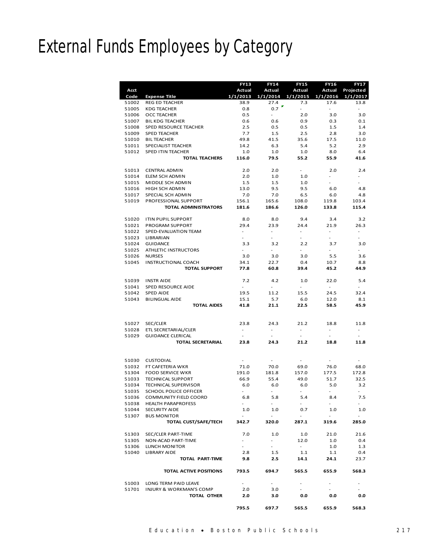# External Funds Employees by Category

|       |                                    | <b>FY13</b>              | <b>FY14</b>              | <b>FY15</b>              | <b>FY16</b>              | <b>FY17</b>                  |
|-------|------------------------------------|--------------------------|--------------------------|--------------------------|--------------------------|------------------------------|
| Acct  |                                    | Actual                   | Actual                   | Actual                   | Actual                   | Projected                    |
| Code  | <b>Expense Title</b>               | 1/1/2013                 | 1/1/2014                 | 1/1/2015                 | 1/1/2016                 | 1/1/2017                     |
| 51002 | <b>REG ED TEACHER</b>              | 38.9                     | 27.4                     | 7.3                      | 17.6                     | 13.8                         |
| 51005 | <b>KDG TEACHER</b>                 | 0.8                      | 0.7                      | $\sim$                   | $\overline{\phantom{a}}$ | $\frac{1}{2}$                |
| 51006 | OCC TEACHER                        | 0.5                      | $\blacksquare$           | 2.0                      | 3.0                      | 3.0                          |
| 51007 | <b>BIL KDG TEACHER</b>             | 0.6                      | 0.6                      | 0.9                      | 0.3                      | 0.1                          |
| 51008 | SPED RESOURCE TEACHER              | 2.5                      | 0.5                      | 0.5                      | 1.5                      | 1.4                          |
| 51009 | <b>SPED TEACHER</b>                | 7.7                      | 1.5                      | 2.5                      | 2.8                      | 3.0                          |
| 51010 | <b>BIL TEACHER</b>                 | 49.8                     | 41.5                     | 35.6                     | 17.5                     | 11.0                         |
| 51011 | SPECIALIST TEACHER                 | 14.2                     | 6.3                      | 5.4                      | 5.2                      | 2.9                          |
| 51012 | SPED ITIN TEACHER                  | 1.0                      | 1.0                      | 1.0                      | 8.0                      | 6.4                          |
|       | <b>TOTAL TEACHERS</b>              | 116.0                    | 79.5                     | 55.2                     | 55.9                     | 41.6                         |
|       |                                    |                          |                          |                          |                          |                              |
| 51013 | <b>CENTRAL ADMIN</b>               | 2.0                      | 2.0                      | ۰.                       | 2.0                      | 2.4                          |
| 51014 | ELEM SCH ADMIN                     | 2.0                      | 1.0                      | 1.0                      |                          |                              |
| 51015 | MIDDLE SCH ADMIN                   | 1.5                      | 1.5                      | 1.0                      |                          |                              |
| 51016 | HIGH SCH ADMIN                     | 13.0                     | 9.5                      | 9.5                      | 6.0                      | 4.8                          |
| 51017 | SPECIAL SCH ADMIN                  | 7.0                      | 7.0                      | 6.5                      | 6.0                      | 4.8                          |
| 51019 | PROFESSIONAL SUPPORT               | 156.1                    | 165.6                    | 108.0                    | 119.8                    | 103.4                        |
|       | <b>TOTAL ADMINISTRATORS</b>        | 181.6                    | 186.6                    | 126.0                    | 133.8                    | 115.4                        |
|       |                                    |                          |                          |                          |                          |                              |
| 51020 | <b>ITIN PUPIL SUPPORT</b>          | 8.0                      | 8.0                      | 9.4                      | 3.4                      | 3.2                          |
| 51021 | PROGRAM SUPPORT                    | 29.4                     | 23.9                     | 24.4                     | 21.9                     | 26.3                         |
| 51022 | SPED-EVALUATION TEAM               | $\overline{\phantom{a}}$ | $\overline{\phantom{a}}$ | $\sim$                   | $\overline{\phantom{a}}$ | -                            |
| 51023 | <b>LIBRARIAN</b>                   | $\overline{\phantom{a}}$ | $\overline{\phantom{a}}$ | $\blacksquare$           | $\frac{1}{2}$            |                              |
| 51024 | <b>GUIDANCE</b>                    | 3.3                      | 3.2                      | 2.2                      | 3.7                      | 3.0                          |
| 51025 | ATHLETIC INSTRUCTORS               | $\sim$                   | $\blacksquare$           | $\sim$                   | $\blacksquare$           | $\overline{\phantom{0}}$     |
| 51026 | <b>NURSES</b>                      | 3.0                      | 3.0                      | 3.0                      | 5.5                      | 3.6                          |
| 51045 | INSTRUCTIONAL COACH                | 34.1                     | 22.7                     | 0.4                      | 10.7                     | 8.8                          |
|       | <b>TOTAL SUPPORT</b>               | 77.8                     | 60.8                     | 39.4                     | 45.2                     | 44.9                         |
|       |                                    |                          |                          |                          |                          |                              |
| 51039 | <b>INSTRAIDE</b>                   | 7.2                      | 4.2                      | 1.0                      | 22.0                     | 5.4                          |
| 51041 | SPED RESOURCE AIDE                 | $\sim$                   | $\blacksquare$           | ٠                        | $\blacksquare$           |                              |
| 51042 | <b>SPED AIDE</b>                   | 19.5                     | 11.2                     | 15.5                     | 24.5                     | 32.4                         |
| 51043 | <b>BILINGUAL AIDE</b>              | 15.1                     | 5.7                      | 6.0                      | 12.0                     | 8.1                          |
|       | <b>TOTAL AIDES</b>                 | 41.8                     | 21.1                     | 22.5                     | 58.5                     | 45.9                         |
|       |                                    |                          |                          |                          |                          |                              |
|       |                                    |                          |                          |                          |                          |                              |
| 51027 | SEC/CLER                           | 23.8                     | 24.3                     | 21.2                     | 18.8                     | 11.8                         |
| 51028 | ETL SECRETARIAL/CLER               | $\blacksquare$           | $\overline{\phantom{a}}$ | $\overline{\phantom{a}}$ | $\overline{\phantom{a}}$ | $\overline{a}$               |
| 51029 | <b>GUIDANCE CLERICAL</b>           | $\overline{\phantom{a}}$ | $\overline{\phantom{a}}$ | $\overline{\phantom{a}}$ | $\overline{\phantom{a}}$ | $\overline{a}$               |
|       | <b>TOTAL SECRETARIAL</b>           | 23.8                     | 24.3                     | 21.2                     | 18.8                     | 11.8                         |
|       |                                    |                          |                          |                          |                          |                              |
|       |                                    |                          |                          |                          |                          |                              |
| 51030 | <b>CUSTODIAL</b>                   |                          |                          |                          |                          |                              |
| 51032 | FT CAFETERIA WKR                   | 71.0                     | 70.0                     | 69.0                     | 76.0                     | 68.0                         |
| 51304 | <b>FOOD SERVICE WKR</b>            | 191.0                    | 181.8                    | 157.0                    | 177.5                    | 172.8                        |
| 51033 | <b>TECHNICAL SUPPORT</b>           | 66.9                     | 55.4                     | 49.0                     | 51.7                     | 32.5                         |
| 51034 | TECHNICAL SUPERVISOR               | 6.0                      | 6.0                      | 6.0                      | 5.0                      | 3.2                          |
| 51035 | <b>SCHOOL POLICE OFFICER</b>       | ÷,                       | $\overline{\phantom{a}}$ | ÷,                       | $\overline{\phantom{m}}$ | $\qquad \qquad \blacksquare$ |
|       | 51036 COMMUNITY FIELD COORD        | 6.8                      | 5.8                      | 5.4                      | 8.4                      | 7.5                          |
| 51038 | <b>HEALTH PARAPROFESS</b>          | $\sim$                   | $\sim$                   | $\sim$                   | ۰                        |                              |
| 51044 | SECURITY AIDE                      | 1.0                      | 1.0                      | 0.7                      | 1.0                      | 1.0                          |
| 51307 | <b>BUS MONITOR</b>                 | $\blacksquare$           |                          | $\sim$                   | $\blacksquare$           |                              |
|       | TOTAL CUST/SAFE/TECH               | 342.7                    | 320.0                    | 287.1                    | 319.6                    | 285.0                        |
|       |                                    |                          |                          |                          |                          |                              |
| 51303 | SEC/CLER PART-TIME                 | 7.0                      | 1.0                      | 1.0                      | 21.0                     | 21.6                         |
| 51305 | NON-ACAD PART-TIME                 | $\sim$                   | $\sim$                   | 12.0                     | 1.0                      | 0.4                          |
| 51306 | LUNCH MONITOR                      | $\sim 10$                | $\sim$                   | $\omega_{\rm{eff}}$      | 1.0                      | 1.3                          |
| 51040 | <b>LIBRARY AIDE</b>                | 2.8                      | 1.5                      | 1.1                      | 1.1                      | 0.4                          |
|       | TOTAL PART-TIME                    | 9.8                      | 2.5                      | 14.1                     | 24.1                     | 23.7                         |
|       |                                    |                          |                          |                          |                          |                              |
|       | <b>TOTAL ACTIVE POSITIONS</b>      | 793.5                    | 694.7                    | 565.5                    | 655.9                    | 568.3                        |
|       |                                    |                          |                          |                          |                          |                              |
| 51003 | LONG TERM PAID LEAVE               | $\sim$                   | $\sim$                   |                          |                          |                              |
| 51701 | <b>INJURY &amp; WORKMAN'S COMP</b> | 2.0                      | 3.0                      |                          |                          |                              |
|       | TOTAL OTHER                        | 2.0                      | 3.0                      | 0.0                      | 0.0                      | 0.0                          |
|       |                                    |                          |                          |                          |                          |                              |
|       |                                    | 795.5                    | 697.7                    | 565.5                    | 655.9                    | 568.3                        |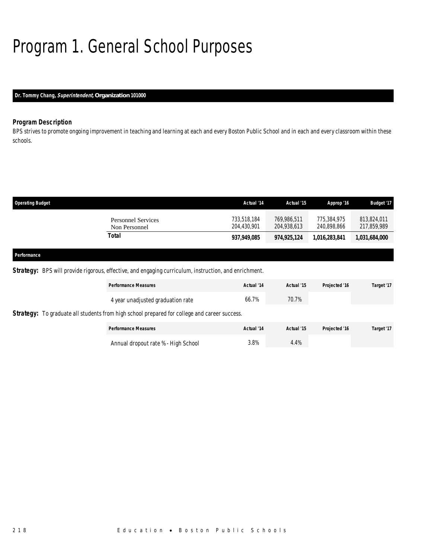# Program 1. General School Purposes

# *Dr. Tommy Chang, Superintendent, Organization 101000*

# *Program Description*

BPS strives to promote ongoing improvement in teaching and learning at each and every Boston Public School and in each and every classroom within these schools.

| <b>Operating Budget</b>                    | Actual '14                 | Actual '15                 | Approp '16                 | <b>Budget '17</b>          |
|--------------------------------------------|----------------------------|----------------------------|----------------------------|----------------------------|
| <b>Personnel Services</b><br>Non Personnel | 733,518,184<br>204,430,901 | 769,986,511<br>204,938,613 | 775,384,975<br>240,898,866 | 813,824,011<br>217,859,989 |
| Total                                      | 937,949,085                | 974,925,124                | 1,016,283,841              | 1,031,684,000              |
|                                            |                            |                            |                            |                            |
| Performance                                |                            |                            |                            |                            |

Strategy: BPS will provide rigorous, effective, and engaging curriculum, instruction, and enrichment.

| <b>Performance Measures</b>                                                                  | Actual '14 | Actual '15 | Projected '16 | Target '17 |
|----------------------------------------------------------------------------------------------|------------|------------|---------------|------------|
| 4 year unadjusted graduation rate                                                            | 66.7%      | 70.7%      |               |            |
| Strategy: To graduate all students from high school prepared for college and career success. |            |            |               |            |
| <b>Performance Measures</b>                                                                  | Actual '14 | Actual '15 | Projected '16 | Target '17 |
| Annual dropout rate % - High School                                                          | 3.8%       | 4.4%       |               |            |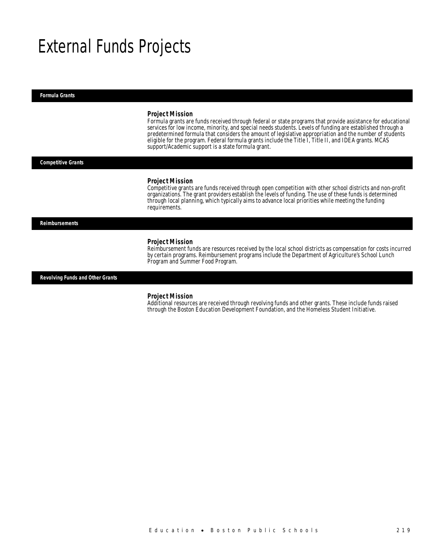# External Funds Projects

*Formula Grants* 

#### *Project Mission*

Formula grants are funds received through federal or state programs that provide assistance for educational services for low income, minority, and special needs students. Levels of funding are established through a predetermined formula that considers the amount of legislative appropriation and the number of students eligible for the program. Federal formula grants include the Title I, Title II, and IDEA grants. MCAS support/Academic support is a state formula grant.

*Competitive Grants* 

#### *Project Mission*

Competitive grants are funds received through open competition with other school districts and non-profit organizations. The grant providers establish the levels of funding. The use of these funds is determined through local planning, which typically aims to advance local priorities while meeting the funding requirements.

*Reimbursements* 

#### *Project Mission*

Reimbursement funds are resources received by the local school districts as compensation for costs incurred by certain programs. Reimbursement programs include the Department of Agriculture's School Lunch Program and Summer Food Program.

*Revolving Funds and Other Grants* 

#### *Project Mission*

Additional resources are received through revolving funds and other grants. These include funds raised through the Boston Education Development Foundation, and the Homeless Student Initiative.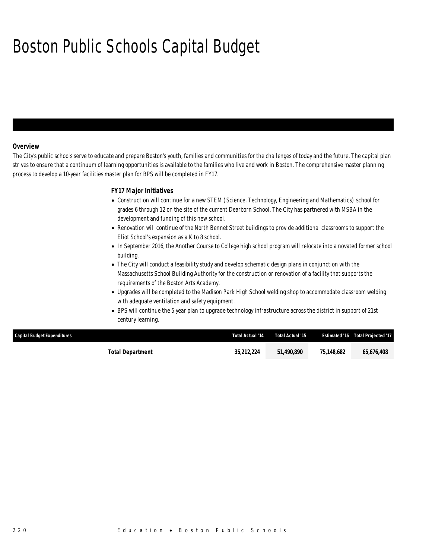# Boston Public Schools Capital Budget

## *Overview*

The City's public schools serve to educate and prepare Boston's youth, families and communities for the challenges of today and the future. The capital plan strives to ensure that a continuum of learning opportunities is available to the families who live and work in Boston. The comprehensive master planning process to develop a 10-year facilities master plan for BPS will be completed in FY17.

## *FY17 Major Initiatives*

- Construction will continue for a new STEM (Science, Technology, Engineering and Mathematics) school for grades 6 through 12 on the site of the current Dearborn School. The City has partnered with MSBA in the development and funding of this new school.
- Renovation will continue of the North Bennet Street buildings to provide additional classrooms to support the Eliot School's expansion as a K to 8 school.
- In September 2016, the Another Course to College high school program will relocate into a novated former school building.
- The City will conduct a feasibility study and develop schematic design plans in conjunction with the Massachusetts School Building Authority for the construction or renovation of a facility that supports the requirements of the Boston Arts Academy.
- Upgrades will be completed to the Madison Park High School welding shop to accommodate classroom welding with adequate ventilation and safety equipment.
- BPS will continue the 5 year plan to upgrade technology infrastructure across the district in support of 21st century learning.

| Capital Budget Expenditures | Total Actual '14 | Total Actual '15 |            | <b>Estimated '16 Total Projected '17</b> |
|-----------------------------|------------------|------------------|------------|------------------------------------------|
| Total Department            | 35,212,224       | 51.490.890       | 75,148,682 | 65,676,408                               |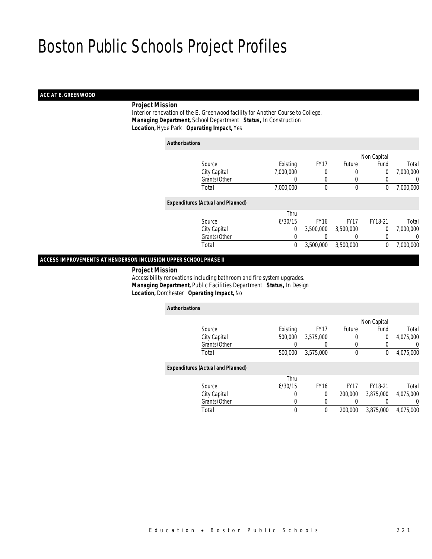## *ACC AT E. GREENWOOD*

## *Project Mission*

 Interior renovation of the E. Greenwood facility for Another Course to College. *Managing Department,* School Department *Status,* In Construction*Location,* Hyde Park *Operating Impact,* Yes

| <b>Authorizations</b>                    |           |             |              |             |           |
|------------------------------------------|-----------|-------------|--------------|-------------|-----------|
|                                          |           |             |              | Non Capital |           |
| Source                                   | Existing  | <b>FY17</b> | Future       | Fund        | Total     |
| City Capital                             | 7,000,000 | 0           | 0            | $\theta$    | 7,000,000 |
| Grants/Other                             | 0         | 0           | 0            | 0           | 0         |
| Total                                    | 7,000,000 | $\theta$    | $\mathbf{0}$ | $\mathbf 0$ | 7,000,000 |
| <b>Expenditures (Actual and Planned)</b> |           |             |              |             |           |
|                                          | Thru      |             |              |             |           |
| Source                                   | 6/30/15   | <b>FY16</b> | <b>FY17</b>  | FY18-21     | Total     |
| City Capital                             | 0         | 3.500.000   | 3.500.000    | $\theta$    | 7,000,000 |
| Grants/Other                             | 0         |             | 0            | 0           | 0         |
| Total                                    | 0         | 3,500,000   | 3.500.000    | 0           | 7,000,000 |
|                                          |           |             |              |             |           |

## *ACCESS IMPROVEMENTS AT HENDERSON INCLUSION UPPER SCHOOL PHASE II*

*Project Mission*

 Accessibility renovations including bathroom and fire system upgrades. *Managing Department,* Public Facilities Department *Status,* In Design*Location,* Dorchester *Operating Impact,* No

| <b>Authorizations</b>                    |          |             |             |             |           |
|------------------------------------------|----------|-------------|-------------|-------------|-----------|
|                                          |          |             |             | Non Capital |           |
| Source                                   | Existing | <b>FY17</b> | Future      | Fund        | Total     |
| City Capital                             | 500,000  | 3,575,000   | 0           | $\Omega$    | 4,075,000 |
| Grants/Other                             | 0        |             | 0           |             | 0         |
| Total                                    | 500,000  | 3,575,000   | $\mathbf 0$ | 0           | 4,075,000 |
| <b>Expenditures (Actual and Planned)</b> |          |             |             |             |           |
|                                          | Thru     |             |             |             |           |
| Source                                   | 6/30/15  | <b>FY16</b> | <b>FY17</b> | FY18-21     | Total     |
| City Capital                             | 0        | 0           | 200,000     | 3,875,000   | 4.075.000 |
| Grants/Other                             | 0        | $\left($    |             |             | $\left($  |
| Total                                    | 0        | $\mathbf 0$ | 200,000     | 3.875.000   | 4.075.000 |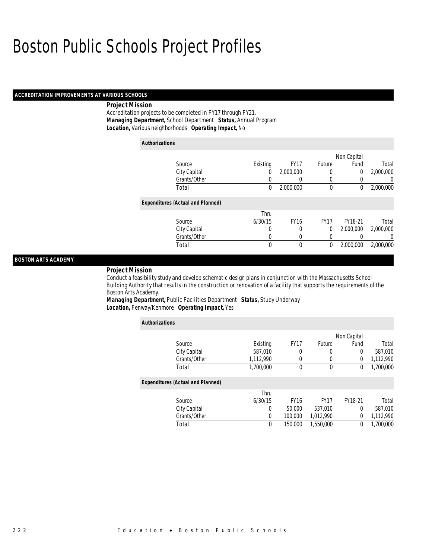#### *ACCREDITATION IMPROVEMENTS AT VARIOUS SCHOOLS*

#### *Project Mission*

Accreditation projects to be completed in FY17 through FY21. *Managing Department,* School Department *Status,* Annual Program*Location,* Various neighborhoods *Operating Impact,* No

| <b>Authorizations</b>                    |              |          |             |             |             |                |
|------------------------------------------|--------------|----------|-------------|-------------|-------------|----------------|
|                                          |              |          |             |             | Non Capital |                |
| Source                                   |              | Existing | <b>FY17</b> | Future      | Fund        | Total          |
|                                          | City Capital | 0        | 2,000,000   | 0           | 0           | 2,000,000      |
|                                          | Grants/Other | 0        |             | 0           | 0           | $\Omega$       |
| Total                                    |              | 0        | 2,000,000   | $\mathbf 0$ | 0           | 2,000,000      |
| <b>Expenditures (Actual and Planned)</b> |              |          |             |             |             |                |
|                                          |              | Thru     |             |             |             |                |
| Source                                   |              | 6/30/15  | <b>FY16</b> | <b>FY17</b> | FY18-21     | Total          |
|                                          | City Capital | 0        | 0           | 0           | 2,000,000   | 2,000,000      |
|                                          | Grants/Other | 0        | 0           | 0           |             | $\overline{0}$ |
| Total                                    |              | $\theta$ | $\theta$    | 0           | 2,000,000   | 2,000,000      |

### *BOSTON ARTS ACADEMY*

#### *Project Mission*

Conduct a feasibility study and develop schematic design plans in conjunction with the Massachusetts School Building Authority that results in the construction or renovation of a facility that supports the requirements of the Boston Arts Academy.

*Managing Department,* Public Facilities Department *Status,* Study Underway*Location,* Fenway/Kenmore *Operating Impact,* Yes

| <b>Authorizations</b>                    |           |             |             |             |           |
|------------------------------------------|-----------|-------------|-------------|-------------|-----------|
|                                          |           |             |             | Non Capital |           |
| Source                                   | Existing  | <b>FY17</b> | Future      | Fund        | Total     |
| City Capital                             | 587,010   | 0           | 0           | $\Omega$    | 587,010   |
| Grants/Other                             | 1,112,990 | 0           | $\mathbf 0$ | 0           | 1,112,990 |
| Total                                    | 1,700,000 | $\theta$    | $\mathbf 0$ | 0           | 1,700,000 |
| <b>Expenditures (Actual and Planned)</b> |           |             |             |             |           |
|                                          | Thru      |             |             |             |           |
| Source                                   | 6/30/15   | <b>FY16</b> | <b>FY17</b> | FY18-21     | Total     |
| City Capital                             | 0         | 50,000      | 537.010     | 0           | 587,010   |
| Grants/Other                             | 0         | 100,000     | 1,012,990   | 0           | 1,112,990 |
| Total                                    | 0         | 150,000     | 1,550,000   | 0           | 1,700,000 |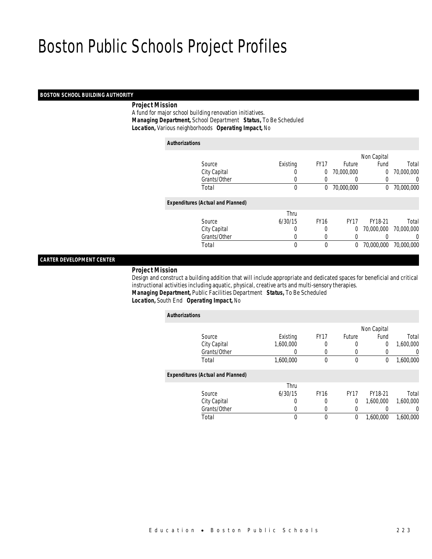#### *BOSTON SCHOOL BUILDING AUTHORITY*

## *Project Mission*

 A fund for major school building renovation initiatives. *Managing Department,* School Department *Status,* To Be Scheduled*Location,* Various neighborhoods *Operating Impact,* No

| <b>Authorizations</b> |                                          |                  |             |                  |             |            |
|-----------------------|------------------------------------------|------------------|-------------|------------------|-------------|------------|
|                       |                                          |                  |             |                  | Non Capital |            |
|                       | Source                                   | Existing         | <b>FY17</b> | Future           | Fund        | Total      |
|                       | City Capital                             | $\left( \right)$ | 0           | 70,000,000       | 0           | 70,000,000 |
|                       | Grants/Other                             | 0                |             | $\left($         | 0           | 0          |
|                       | Total                                    | $\mathbf{0}$     | 0           | 70,000,000       | 0           | 70,000,000 |
|                       | <b>Expenditures (Actual and Planned)</b> |                  |             |                  |             |            |
|                       |                                          | Thru             |             |                  |             |            |
|                       | Source                                   | 6/30/15          | <b>FY16</b> | FY <sub>17</sub> | FY18-21     | Total      |
|                       | City Capital                             | 0                | 0           | 0                | 70,000,000  | 70,000,000 |
|                       | Grants/Other                             | 0                | 0           | 0                |             | 0          |
|                       | Total                                    | 0                | $\theta$    | 0                | 70,000,000  | 70,000,000 |
|                       |                                          |                  |             |                  |             |            |

#### *CARTER DEVELOPMENT CENTER*

#### *Project Mission*

 Design and construct a building addition that will include appropriate and dedicated spaces for beneficial and critical instructional activities including aquatic, physical, creative arts and multi-sensory therapies. *Managing Department,* Public Facilities Department *Status,* To Be Scheduled

## *Location,* South End *Operating Impact,* No

| <b>Authorizations</b>                    |           |             |             |                |           |
|------------------------------------------|-----------|-------------|-------------|----------------|-----------|
|                                          |           |             |             | Non Capital    |           |
| Source                                   | Existing  | <b>FY17</b> | Future      | Fund           | Total     |
| City Capital                             | 1,600,000 |             | 0           | $\overline{0}$ | 1,600,000 |
| Grants/Other                             |           |             | 0           |                | $\Omega$  |
| Total                                    | 1,600,000 | $\theta$    | $\mathbf 0$ | 0              | 1,600,000 |
| <b>Expenditures (Actual and Planned)</b> |           |             |             |                |           |
|                                          | Thru      |             |             |                |           |
| Source                                   | 6/30/15   | <b>FY16</b> | <b>FY17</b> | FY18-21        | Total     |
| City Capital                             | 0         | 0           | 0           | 1.600.000      | 1,600,000 |
| Grants/Other                             | 0         | 0           | 0           |                | $\Omega$  |
| Total                                    | 0         | $\theta$    | 0           | 1,600,000      | 1,600,000 |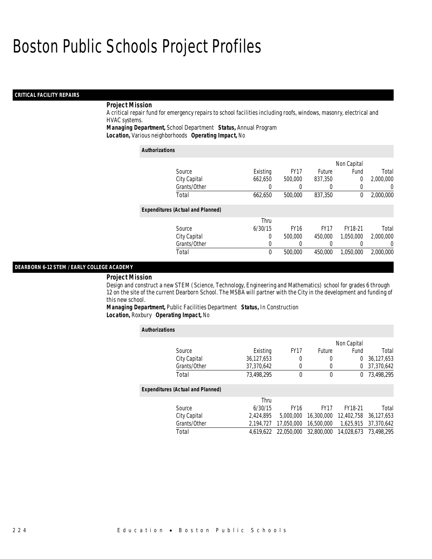### *CRITICAL FACILITY REPAIRS*

# *Project Mission*

A critical repair fund for emergency repairs to school facilities including roofs, windows, masonry, electrical and HVAC systems.

*Managing Department,* School Department *Status,* Annual Program

*Location,* Various neighborhoods *Operating Impact,* No

| <b>Authorizations</b>                    |          |             |             |             |                  |
|------------------------------------------|----------|-------------|-------------|-------------|------------------|
|                                          |          |             |             | Non Capital |                  |
| Source                                   | Existing | <b>FY17</b> | Future      | Fund        | Total            |
| City Capital                             | 662,650  | 500,000     | 837,350     | $\Omega$    | 2,000,000        |
| Grants/Other                             | 0        | 0           |             | $\Omega$    | 0                |
| Total                                    | 662,650  | 500,000     | 837,350     | $\theta$    | 2,000,000        |
| <b>Expenditures (Actual and Planned)</b> |          |             |             |             |                  |
|                                          | Thru     |             |             |             |                  |
| Source                                   | 6/30/15  | <b>FY16</b> | <b>FY17</b> | FY18-21     | Total            |
| City Capital                             | 0        | 500,000     | 450,000     | 1.050.000   | 2.000.000        |
| Grants/Other                             | 0        | 0           |             |             | $\left( \right)$ |
| Total                                    | 0        | 500,000     | 450.000     | 1.050.000   | 2,000,000        |

#### *DEARBORN 6-12 STEM / EARLY COLLEGE ACADEMY*

#### *Project Mission*

Design and construct a new STEM (Science, Technology, Engineering and Mathematics) school for grades 6 through 12 on the site of the current Dearborn School. The MSBA will partner with the City in the development and funding of this new school.

*Managing Department,* Public Facilities Department *Status,* In Construction*Location,* Roxbury *Operating Impact,* No

| <b>Authorizations</b>                    |            |             |             |             |            |
|------------------------------------------|------------|-------------|-------------|-------------|------------|
|                                          |            |             |             | Non Capital |            |
| Source                                   | Existing   | <b>FY17</b> | Future      | Fund        | Total      |
| City Capital                             | 36,127,653 | 0           | 0           | $\Omega$    | 36,127,653 |
| Grants/Other                             | 37,370,642 | 0           | 0           | $\Omega$    | 37,370,642 |
| Total                                    | 73,498,295 | $\Omega$    | 0           | $\Omega$    | 73,498,295 |
| <b>Expenditures (Actual and Planned)</b> |            |             |             |             |            |
|                                          | Thru       |             |             |             |            |
| Source                                   | 6/30/15    | <b>FY16</b> | <b>FY17</b> | FY18-21     | Total      |
| City Capital                             | 2.424.895  | 5,000,000   | 16,300,000  | 12,402,758  | 36,127,653 |
| Grants/Other                             | 2.194.727  | 17.050.000  | 16,500,000  | 1.625.915   | 37,370,642 |
| Total                                    | 4.619.622  | 22.050.000  | 32,800,000  | 14.028.673  | 73,498,295 |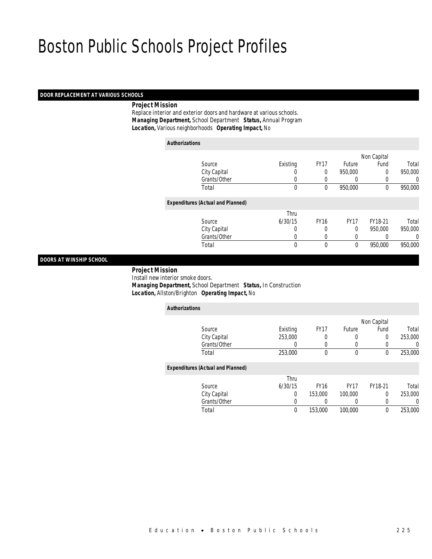## *DOOR REPLACEMENT AT VARIOUS SCHOOLS*

## *Project Mission*

 Replace interior and exterior doors and hardware at various schools. *Managing Department,* School Department *Status,* Annual Program*Location,* Various neighborhoods *Operating Impact,* No

| <b>Authorizations</b>                    |             |             |              |             |         |
|------------------------------------------|-------------|-------------|--------------|-------------|---------|
|                                          |             |             |              | Non Capital |         |
| Source                                   | Existing    | <b>FY17</b> | Future       | Fund        | Total   |
| City Capital                             | 0           | 0           | 950,000      | 0           | 950,000 |
| Grants/Other                             | 0           | 0           | 0            | 0           | 0       |
| Total                                    | $\mathbf 0$ | 0           | 950,000      | 0           | 950,000 |
| <b>Expenditures (Actual and Planned)</b> |             |             |              |             |         |
|                                          | Thru        |             |              |             |         |
| Source                                   | 6/30/15     | <b>FY16</b> | <b>FY17</b>  | FY18-21     | Total   |
| City Capital                             | 0           | 0           | $\Omega$     | 950.000     | 950,000 |
| Grants/Other                             | 0           | 0           | 0            | 0           | 0       |
| Total                                    | 0           | 0           | $\mathbf{0}$ | 950,000     | 950,000 |

## *DOORS AT WINSHIP SCHOOL*

 *Project Mission* Install new interior smoke doors. *Managing Department,* School Department *Status,* In Construction*Location,* Allston/Brighton *Operating Impact,* No

| <b>Authorizations</b>                    |          |             |             |             |         |
|------------------------------------------|----------|-------------|-------------|-------------|---------|
|                                          |          |             |             | Non Capital |         |
| Source                                   | Existing | <b>FY17</b> | Future      | Fund        | Total   |
| City Capital                             | 253,000  | 0           | 0           | 0           | 253,000 |
| Grants/Other                             | 0        | 0           | 0           | 0           | 0       |
| Total                                    | 253,000  | $\theta$    | $\mathbf 0$ | 0           | 253,000 |
| <b>Expenditures (Actual and Planned)</b> |          |             |             |             |         |
|                                          | Thru     |             |             |             |         |
| Source                                   | 6/30/15  | <b>FY16</b> | <b>FY17</b> | FY18-21     | Total   |
| City Capital                             | 0        | 153,000     | 100,000     | $\Omega$    | 253,000 |
| Grants/Other                             | 0        | 0           |             | 0           | 0       |
| Total                                    | 0        | 153,000     | 100,000     | 0           | 253,000 |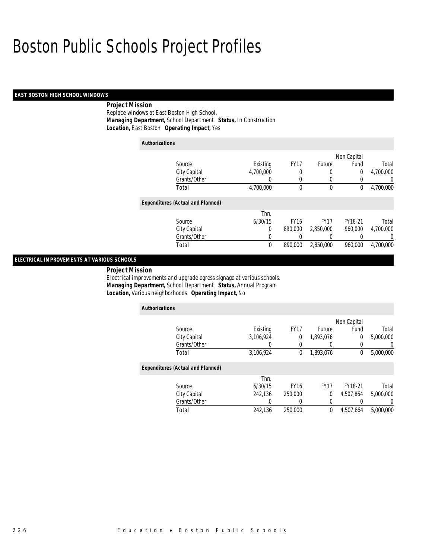### *EAST BOSTON HIGH SCHOOL WINDOWS*

# *Project Mission*

Replace windows at East Boston High School. *Managing Department,* School Department *Status,* In Construction*Location,* East Boston *Operating Impact,* Yes

| <b>Authorizations</b>                    |           |             |             |                |                |
|------------------------------------------|-----------|-------------|-------------|----------------|----------------|
|                                          |           |             |             | Non Capital    |                |
| Source                                   | Existing  | <b>FY17</b> | Future      | Fund           | Total          |
| City Capital                             | 4.700.000 | 0           | 0           | $\overline{0}$ | 4,700,000      |
| Grants/Other                             | 0         | 0           | 0           | 0              | $\overline{0}$ |
| Total                                    | 4,700,000 | 0           | 0           | 0              | 4,700,000      |
| <b>Expenditures (Actual and Planned)</b> |           |             |             |                |                |
|                                          | Thru      |             |             |                |                |
| Source                                   | 6/30/15   | <b>FY16</b> | <b>FY17</b> | FY18-21        | Total          |
| City Capital                             | 0         | 890,000     | 2.850.000   | 960.000        | 4.700.000      |
| Grants/Other                             | 0         |             | 0           |                | 0              |
| Total                                    | 0         | 890,000     | 2,850,000   | 960,000        | 4,700,000      |

## *ELECTRICAL IMPROVEMENTS AT VARIOUS SCHOOLS*

*Project Mission* 

Electrical improvements and upgrade egress signage at various schools. *Managing Department,* School Department *Status,* Annual Program*Location,* Various neighborhoods *Operating Impact,* No

| <b>Authorizations</b>                    |           |             |             |             |                  |
|------------------------------------------|-----------|-------------|-------------|-------------|------------------|
|                                          |           |             |             | Non Capital |                  |
| Source                                   | Existing  | <b>FY17</b> | Future      | Fund        | Total            |
| City Capital                             | 3.106.924 | 0           | 1,893,076   | 0           | 5,000,000        |
| Grants/Other                             | 0         | 0           | 0           | 0           | $\left( \right)$ |
| Total                                    | 3.106.924 | $\theta$    | 1.893.076   | 0           | 5,000,000        |
| <b>Expenditures (Actual and Planned)</b> |           |             |             |             |                  |
|                                          | Thru      |             |             |             |                  |
| Source                                   | 6/30/15   | <b>FY16</b> | <b>FY17</b> | FY18-21     | Total            |
| City Capital                             | 242.136   | 250,000     | 0           | 4.507.864   | 5.000.000        |
| Grants/Other                             | 0         | 0           | 0           | 0           |                  |
| Total                                    | 242.136   | 250,000     | 0           | 4.507.864   | 5,000,000        |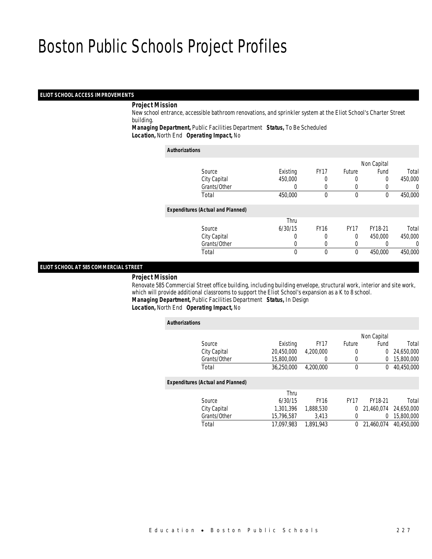#### *ELIOT SCHOOL ACCESS IMPROVEMENTS*

#### *Project Mission*

 New school entrance, accessible bathroom renovations, and sprinkler system at the Eliot School's Charter Street building.

*Managing Department,* Public Facilities Department *Status,* To Be Scheduled*Location,* North End *Operating Impact,* No

#### *Authorizations*

|                                          |          |             |               | Non Capital |         |
|------------------------------------------|----------|-------------|---------------|-------------|---------|
| Source                                   | Existing | <b>FY17</b> | <b>Future</b> | Fund        | Total   |
| City Capital                             | 450,000  |             |               | 0           | 450,000 |
| Grants/Other                             | 0        |             |               |             | 0       |
| Total                                    | 450,000  | 0           | $\mathbf 0$   | 0           | 450,000 |
| <b>Expenditures (Actual and Planned)</b> |          |             |               |             |         |
|                                          | Thru     |             |               |             |         |
| Source                                   | 6/30/15  | <b>FY16</b> | <b>FY17</b>   | FY18-21     | Total   |
| City Capital                             | 0        | 0           | 0             | 450,000     | 450,000 |
| Grants/Other                             | 0        |             | 0             |             | 0       |
| Total                                    | $\theta$ | $\theta$    | 0             | 450,000     | 450,000 |
|                                          |          |             |               |             |         |

#### *ELIOT SCHOOL AT 585 COMMERCIAL STREET*

#### *Project Mission*

 Renovate 585 Commercial Street office building, including building envelope, structural work, interior and site work, which will provide additional classrooms to support the Eliot School's expansion as a K to 8 school. *Managing Department,* Public Facilities Department *Status,* In Design

*Location,* North End *Operating Impact,* No

| <b>Authorizations</b>                    |            |             |             |             |            |
|------------------------------------------|------------|-------------|-------------|-------------|------------|
|                                          |            |             |             | Non Capital |            |
| Source                                   | Existing   | <b>FY17</b> | Future      | Fund        | Total      |
| City Capital                             | 20,450,000 | 4.200.000   | 0           | 0           | 24,650,000 |
| Grants/Other                             | 15,800,000 | 0           | 0           | 0           | 15,800,000 |
| Total                                    | 36.250.000 | 4.200.000   | 0           | 0           | 40,450,000 |
| <b>Expenditures (Actual and Planned)</b> |            |             |             |             |            |
|                                          | Thru       |             |             |             |            |
| Source                                   | 6/30/15    | <b>FY16</b> | <b>FY17</b> | FY18-21     | Total      |
| City Capital                             | 1,301,396  | 1,888,530   | 0           | 21.460.074  | 24,650,000 |
| Grants/Other                             | 15.796.587 | 3.413       | 0           | 0           | 15,800,000 |
| Total                                    | 17.097.983 | 1,891,943   | 0           | 21,460,074  | 40.450.000 |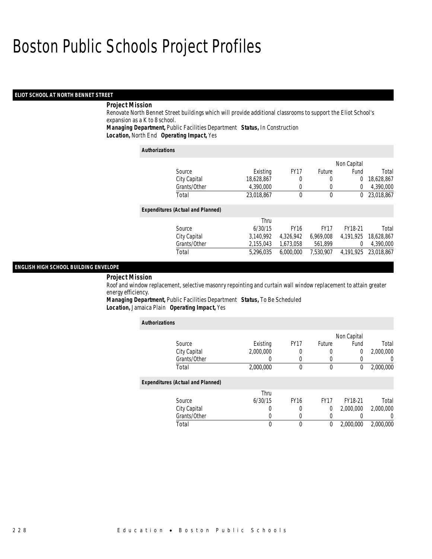### *ELIOT SCHOOL AT NORTH BENNET STREET*

## *Project Mission*

Renovate North Bennet Street buildings which will provide additional classrooms to support the Eliot School's expansion as a K to 8 school.

*Managing Department,* Public Facilities Department *Status,* In Construction

*Location,* North End *Operating Impact,* Yes

| <b>Authorizations</b>                    |            |             |                  |             |            |
|------------------------------------------|------------|-------------|------------------|-------------|------------|
|                                          |            |             |                  | Non Capital |            |
| Source                                   | Existing   | <b>FY17</b> | Future           | Fund        | Total      |
| City Capital                             | 18,628,867 | 0           | 0                | 0           | 18,628,867 |
| Grants/Other                             | 4,390,000  | 0           | 0                | 0           | 4,390,000  |
| Total                                    | 23,018,867 | 0           | 0                | 0           | 23,018,867 |
| <b>Expenditures (Actual and Planned)</b> |            |             |                  |             |            |
|                                          | Thru       |             |                  |             |            |
| Source                                   | 6/30/15    | <b>FY16</b> | FY <sub>17</sub> | FY18-21     | Total      |
| City Capital                             | 3,140,992  | 4,326,942   | 6,969,008        | 4.191.925   | 18.628.867 |
| Grants/Other                             | 2,155,043  | 1,673,058   | 561,899          | 0           | 4,390,000  |
| Total                                    | 5.296.035  | 6.000.000   | 7.530.907        | 4.191.925   | 23.018.867 |

#### *ENGLISH HIGH SCHOOL BUILDING ENVELOPE*

### *Project Mission*

Roof and window replacement, selective masonry repointing and curtain wall window replacement to attain greater energy efficiency.

*Managing Department,* Public Facilities Department *Status,* To Be Scheduled*Location,* Jamaica Plain *Operating Impact,* Yes

| <b>Authorizations</b>                    |           |             |             |             |           |
|------------------------------------------|-----------|-------------|-------------|-------------|-----------|
|                                          |           |             |             | Non Capital |           |
| Source                                   | Existing  | <b>FY17</b> | Future      | Fund        | Total     |
| City Capital                             | 2,000,000 | 0           | 0           | 0           | 2,000,000 |
| Grants/Other                             | 0         | 0           | 0           |             | 0         |
| Total                                    | 2,000,000 | 0           | 0           | 0           | 2,000,000 |
| <b>Expenditures (Actual and Planned)</b> |           |             |             |             |           |
|                                          | Thru      |             |             |             |           |
| Source                                   | 6/30/15   | <b>FY16</b> | <b>FY17</b> | FY18-21     | Total     |
| City Capital                             | O         | 0           | 0           | 2.000.000   | 2,000,000 |
| Grants/Other                             | 0         | 0           | 0           |             | $\left($  |
| Total                                    |           |             | 0           | 2.000.000   | 2,000,000 |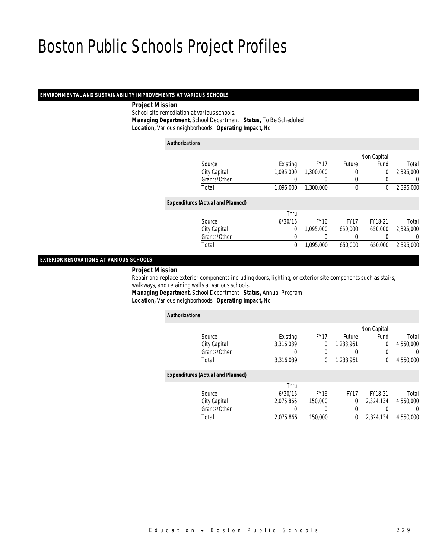#### *ENVIRONMENTAL AND SUSTAINABILITY IMPROVEMENTS AT VARIOUS SCHOOLS*

#### *Project Mission*

 School site remediation at various schools. *Managing Department,* School Department *Status,* To Be Scheduled*Location,* Various neighborhoods *Operating Impact,* No

| <b>Authorizations</b> |                                          |           |             |             |                |                  |
|-----------------------|------------------------------------------|-----------|-------------|-------------|----------------|------------------|
|                       |                                          |           |             |             | Non Capital    |                  |
|                       | Source                                   | Existing  | <b>FY17</b> | Future      | Fund           | Total            |
|                       | City Capital                             | 1,095,000 | 1,300,000   |             | $\overline{0}$ | 2,395,000        |
|                       | Grants/Other                             | 0         | 0           | 0           | 0              | 0                |
|                       | Total                                    | 1.095.000 | 1,300,000   | 0           | 0              | 2,395,000        |
|                       | <b>Expenditures (Actual and Planned)</b> |           |             |             |                |                  |
|                       |                                          | Thru      |             |             |                |                  |
|                       | Source                                   | 6/30/15   | <b>FY16</b> | <b>FY17</b> | FY18-21        | Total            |
|                       | City Capital                             | $\Omega$  | 1.095.000   | 650,000     | 650,000        | 2,395,000        |
|                       | Grants/Other                             | 0         |             |             |                | $\left( \right)$ |
|                       | Total                                    | 0         | 1,095,000   | 650,000     | 650,000        | 2,395,000        |
|                       |                                          |           |             |             |                |                  |

*EXTERIOR RENOVATIONS AT VARIOUS SCHOOLS* 

#### *Project Mission*

 Repair and replace exterior components including doors, lighting, or exterior site components such as stairs, walkways, and retaining walls at various schools.

*Managing Department,* School Department *Status,* Annual Program

*Location,* Various neighborhoods *Operating Impact,* No

|                                          |             |             | Non Capital    |           |
|------------------------------------------|-------------|-------------|----------------|-----------|
| Existing                                 | <b>FY17</b> | Future      | Fund           | Total     |
| 3,316,039                                | 0           | 1,233,961   | $\overline{0}$ | 4,550,000 |
|                                          | 0           |             | 0              | $\Omega$  |
| 3,316,039                                | 0           | 1.233.961   | 0              | 4,550,000 |
| <b>Expenditures (Actual and Planned)</b> |             |             |                |           |
| Thru                                     |             |             |                |           |
| 6/30/15                                  | <b>FY16</b> | <b>FY17</b> | FY18-21        | Total     |
| 2,075,866                                | 150,000     | 0           | 2,324,134      | 4,550,000 |
|                                          |             | 0           |                | $\left($  |
| 2,075,866                                | 150,000     | $\theta$    | 2.324.134      | 4,550,000 |
|                                          |             |             |                |           |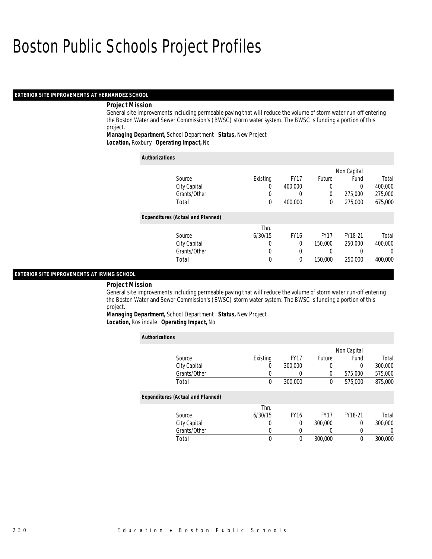### *EXTERIOR SITE IMPROVEMENTS AT HERNANDEZ SCHOOL*

#### *Project Mission*

*Authorizations*

General site improvements including permeable paving that will reduce the volume of storm water run-off entering the Boston Water and Sewer Commission's (BWSC) storm water system. The BWSC is funding a portion of this project.

*Managing Department,* School Department *Status,* New Project*Location,* Roxbury *Operating Impact,* No

| Authorizations                           |          |             |             |             |          |
|------------------------------------------|----------|-------------|-------------|-------------|----------|
|                                          |          |             |             | Non Capital |          |
| Source                                   | Existing | <b>FY17</b> | Future      | Fund        | Total    |
| City Capital                             | 0        | 400,000     |             | 0           | 400,000  |
| Grants/Other                             | 0        | O           | 0           | 275,000     | 275,000  |
| Total                                    | 0        | 400,000     | 0           | 275,000     | 675,000  |
| <b>Expenditures (Actual and Planned)</b> |          |             |             |             |          |
|                                          | Thru     |             |             |             |          |
| Source                                   | 6/30/15  | <b>FY16</b> | <b>FY17</b> | FY18-21     | Total    |
| City Capital                             | 0        | 0           | 150,000     | 250,000     | 400,000  |
| Grants/Other                             | 0        | $\Omega$    |             |             | $\left($ |
| Total                                    | 0        | $\theta$    | 150,000     | 250,000     | 400,000  |

#### *EXTERIOR SITE IMPROVEMENTS AT IRVING SCHOOL*

#### *Project Mission*

General site improvements including permeable paving that will reduce the volume of storm water run-off entering the Boston Water and Sewer Commission's (BWSC) storm water system. The BWSC is funding a portion of this project.

*Managing Department,* School Department *Status,* New Project

*Location,* Roslindale *Operating Impact,* No

| <b>Authorizations</b>                    |          |             |             |             |         |
|------------------------------------------|----------|-------------|-------------|-------------|---------|
|                                          |          |             |             | Non Capital |         |
| Source                                   | Existing | <b>FY17</b> | Future      | Fund        | Total   |
| City Capital                             | 0        | 300,000     |             | $\Omega$    | 300,000 |
| Grants/Other                             | O        | O           | 0           | 575,000     | 575,000 |
| Total                                    | 0        | 300,000     | 0           | 575,000     | 875,000 |
| <b>Expenditures (Actual and Planned)</b> |          |             |             |             |         |
|                                          | Thru     |             |             |             |         |
| Source                                   | 6/30/15  | <b>FY16</b> | <b>FY17</b> | FY18-21     | Total   |
| City Capital                             | $\left($ | 0           | 300,000     | 0           | 300,000 |
| Grants/Other                             | 0        | 0           |             | 0           | 0       |
| Total                                    | 0        | $\Omega$    | 300,000     | 0           | 300,000 |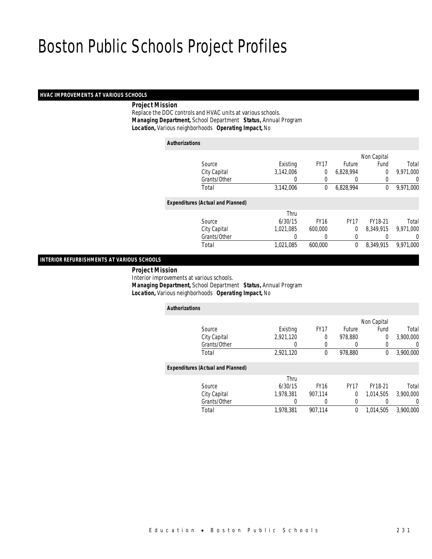## *HVAC IMPROVEMENTS AT VARIOUS SCHOOLS*

#### *Project Mission*

 Replace the DDC controls and HVAC units at various schools. *Managing Department,* School Department *Status,* Annual Program*Location,* Various neighborhoods *Operating Impact,* No

| <b>Authorizations</b> |                                          |           |             |             |                |                  |
|-----------------------|------------------------------------------|-----------|-------------|-------------|----------------|------------------|
|                       |                                          |           |             |             | Non Capital    |                  |
|                       | Source                                   | Existing  | <b>FY17</b> | Future      | Fund           | Total            |
|                       | City Capital                             | 3,142,006 | 0           | 6,828,994   | $\overline{0}$ | 9,971,000        |
|                       | Grants/Other                             | 0         | 0           | 0           | 0              | $\left( \right)$ |
|                       | Total                                    | 3,142,006 | 0           | 6.828.994   | $\mathbf 0$    | 9.971.000        |
|                       | <b>Expenditures (Actual and Planned)</b> |           |             |             |                |                  |
|                       |                                          | Thru      |             |             |                |                  |
|                       | Source                                   | 6/30/15   | <b>FY16</b> | <b>FY17</b> | FY18-21        | Total            |
|                       | City Capital                             | 1,021,085 | 600.000     | $\theta$    | 8.349.915      | 9,971,000        |
|                       | Grants/Other                             | 0         | 0           | 0           | 0              | 0                |
|                       | Total                                    | 1,021,085 | 600.000     | 0           | 8.349.915      | 9,971,000        |

*INTERIOR REFURBISHMENTS AT VARIOUS SCHOOLS* 

*Project Mission*

Interior improvements at various schools.

*Managing Department,* School Department *Status,* Annual Program

*Location,* Various neighborhoods *Operating Impact,* No

| <b>Authorizations</b>                    |           |             |             |             |           |
|------------------------------------------|-----------|-------------|-------------|-------------|-----------|
|                                          |           |             |             | Non Capital |           |
| Source                                   | Existing  | <b>FY17</b> | Future      | Fund        | Total     |
| City Capital                             | 2,921,120 | 0           | 978,880     | 0           | 3,900,000 |
| Grants/Other                             | 0         | 0           | 0           | 0           | 0         |
| Total                                    | 2,921,120 | 0           | 978,880     | 0           | 3,900,000 |
| <b>Expenditures (Actual and Planned)</b> |           |             |             |             |           |
|                                          | Thru      |             |             |             |           |
| Source                                   | 6/30/15   | <b>FY16</b> | <b>FY17</b> | FY18-21     | Total     |
| City Capital                             | 1.978.381 | 907.114     | 0           | 1.014.505   | 3,900,000 |
| Grants/Other                             | 0         | 0           | 0           | 0           | 0         |
| Total                                    | 1,978,381 | 907.114     | 0           | 1,014,505   | 3,900,000 |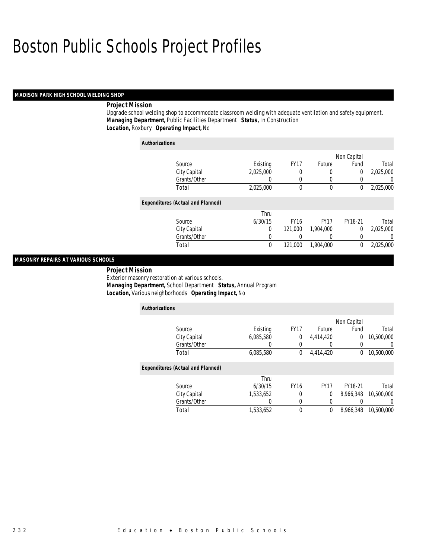## *MADISON PARK HIGH SCHOOL WELDING SHOP*

# *Project Mission*

Upgrade school welding shop to accommodate classroom welding with adequate ventilation and safety equipment. *Managing Department,* Public Facilities Department *Status,* In Construction*Location,* Roxbury *Operating Impact,* No

| <b>Authorizations</b>                    |             |                  |             |                |           |
|------------------------------------------|-------------|------------------|-------------|----------------|-----------|
|                                          |             |                  |             | Non Capital    |           |
| Source                                   | Existing    | FY <sub>17</sub> | Future      | Fund           | Total     |
| City Capital                             | 2,025,000   | 0                | 0           | 0              | 2,025,000 |
| Grants/Other                             | 0           | 0                | 0           |                | 0         |
| Total                                    | 2,025,000   | 0                | $\mathbf 0$ | 0              | 2,025,000 |
| <b>Expenditures (Actual and Planned)</b> |             |                  |             |                |           |
|                                          | Thru        |                  |             |                |           |
| Source                                   | 6/30/15     | <b>FY16</b>      | <b>FY17</b> | FY18-21        | Total     |
| City Capital                             | 0           | 121,000          | 1.904.000   | $\overline{0}$ | 2.025.000 |
| Grants/Other                             |             |                  |             |                | 0         |
| Total                                    | $\mathbf 0$ | 121,000          | 1.904.000   | 0              | 2,025,000 |

# *MASONRY REPAIRS AT VARIOUS SCHOOLS*

 *Project Mission* Exterior masonry restoration at various schools. *Managing Department,* School Department *Status,* Annual Program*Location,* Various neighborhoods *Operating Impact,* No

| <b>Authorizations</b>                    |           |             |             |             |            |
|------------------------------------------|-----------|-------------|-------------|-------------|------------|
|                                          |           |             |             | Non Capital |            |
| Source                                   | Existing  | <b>FY17</b> | Future      | Fund        | Total      |
| City Capital                             | 6,085,580 | $\Omega$    | 4,414,420   | 0           | 10,500,000 |
| Grants/Other                             | O         | 0           | 0           | 0           |            |
| Total                                    | 6,085,580 | $\theta$    | 4,414,420   | 0           | 10.500.000 |
| <b>Expenditures (Actual and Planned)</b> |           |             |             |             |            |
|                                          | Thru      |             |             |             |            |
| Source                                   | 6/30/15   | <b>FY16</b> | <b>FY17</b> | FY18-21     | Total      |
| City Capital                             | 1,533,652 | 0           | 0           | 8.966.348   | 10,500,000 |
| Grants/Other                             | 0         | $\Omega$    | 0           |             |            |
| Total                                    | 1,533,652 | $\theta$    | 0           | 8.966.348   | 10,500,000 |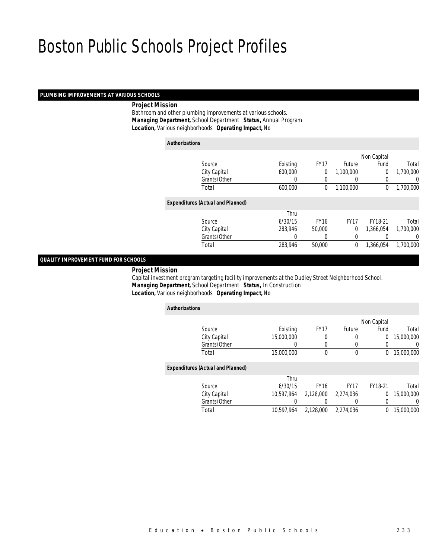#### *PLUMBING IMPROVEMENTS AT VARIOUS SCHOOLS*

### *Project Mission*

 Bathroom and other plumbing improvements at various schools. *Managing Department,* School Department *Status,* Annual Program*Location,* Various neighborhoods *Operating Impact,* No

| <b>Authorizations</b> |                                          |          |             |               |                |           |
|-----------------------|------------------------------------------|----------|-------------|---------------|----------------|-----------|
|                       |                                          |          |             |               | Non Capital    |           |
|                       | Source                                   | Existing | <b>FY17</b> | <b>Future</b> | Fund           | Total     |
|                       | City Capital                             | 600,000  | 0           | 1,100,000     | $\overline{0}$ | 1,700,000 |
|                       | Grants/Other                             | 0        | 0           | $\left($      | 0              | 0         |
|                       | Total                                    | 600,000  | 0           | 1,100,000     | 0              | 1,700,000 |
|                       | <b>Expenditures (Actual and Planned)</b> |          |             |               |                |           |
|                       |                                          | Thru     |             |               |                |           |
|                       | Source                                   | 6/30/15  | <b>FY16</b> | <b>FY17</b>   | FY18-21        | Total     |
|                       | City Capital                             | 283.946  | 50,000      | 0             | 1.366.054      | 1,700,000 |
|                       | Grants/Other                             | 0        | 0           | 0             |                | 0         |
|                       | Total                                    | 283,946  | 50,000      | 0             | 1.366.054      | 1.700.000 |
|                       |                                          |          |             |               |                |           |

## *QUALITY IMPROVEMENT FUND FOR SCHOOLS*

#### *Project Mission*

 Capital investment program targeting facility improvements at the Dudley Street Neighborhood School. *Managing Department,* School Department *Status,* In Construction*Location,* Various neighborhoods *Operating Impact,* No

| <b>Authorizations</b>                    |            |                  |             |                |            |
|------------------------------------------|------------|------------------|-------------|----------------|------------|
|                                          |            |                  |             | Non Capital    |            |
| Source                                   | Existing   | <b>FY17</b>      | Future      | Fund           | Total      |
| City Capital                             | 15,000,000 | 0                | 0           | $\overline{0}$ | 15,000,000 |
| Grants/Other                             | 0          | 0                | 0           | 0              | 0          |
| Total                                    | 15,000,000 | $\theta$         | $\mathbf 0$ | 0              | 15,000,000 |
| <b>Expenditures (Actual and Planned)</b> |            |                  |             |                |            |
|                                          | Thru       |                  |             |                |            |
| Source                                   | 6/30/15    | FY <sub>16</sub> | <b>FY17</b> | FY18-21        | Total      |
| City Capital                             | 10.597.964 | 2.128.000        | 2.274.036   | $\Omega$       | 15,000,000 |
| Grants/Other                             | 0          |                  |             | 0              | 0          |
| Total                                    | 10.597.964 | 2,128,000        | 2.274.036   | $\theta$       | 15,000,000 |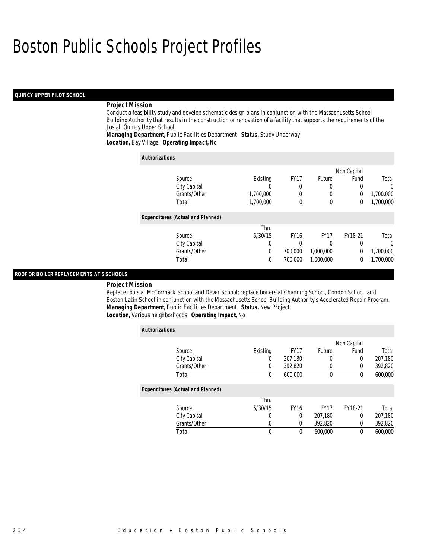### *QUINCY UPPER PILOT SCHOOL*

#### *Project Mission*

Conduct a feasibility study and develop schematic design plans in conjunction with the Massachusetts School Building Authority that results in the construction or renovation of a facility that supports the requirements of the Josiah Quincy Upper School.

*Managing Department,* Public Facilities Department *Status,* Study Underway*Location,* Bay Village *Operating Impact,* No

| <b>Authorizations</b>                    |           |             |             |             |           |
|------------------------------------------|-----------|-------------|-------------|-------------|-----------|
|                                          |           |             |             | Non Capital |           |
| Source                                   | Existing  | <b>FY17</b> | Future      | Fund        | Total     |
| City Capital                             | U         | 0           |             | $\Omega$    | 0         |
| Grants/Other                             | 1,700,000 | 0           | 0           | 0           | 1,700,000 |
| Total                                    | 1,700,000 | 0           | $\theta$    | 0           | 1,700,000 |
| <b>Expenditures (Actual and Planned)</b> |           |             |             |             |           |
|                                          | Thru      |             |             |             |           |
| Source                                   | 6/30/15   | <b>FY16</b> | <b>FY17</b> | FY18-21     | Total     |
| City Capital                             | 0         | 0           |             |             | 0         |
| Grants/Other                             | 0         | 700,000     | 1,000,000   | $\Omega$    | 1,700,000 |
| Total                                    | 0         | 700,000     | 1,000,000   | 0           | 1.700.000 |

#### *ROOF OR BOILER REPLACEMENTS AT 5 SCHOOLS*

#### *Project Mission*

Replace roofs at McCormack School and Dever School; replace boilers at Channing School, Condon School, and Boston Latin School in conjunction with the Massachusetts School Building Authority's Accelerated Repair Program. *Managing Department,* Public Facilities Department *Status,* New Project*Location,* Various neighborhoods *Operating Impact,* No

| <b>Authorizations</b>                    |          |             |             |             |         |
|------------------------------------------|----------|-------------|-------------|-------------|---------|
|                                          |          |             |             | Non Capital |         |
| Source                                   | Existing | <b>FY17</b> | Future      | Fund        | Total   |
| City Capital                             | 0        | 207,180     | 0           | 0           | 207,180 |
| Grants/Other                             | 0        | 392,820     | 0           | $\Omega$    | 392,820 |
| Total                                    | 0        | 600,000     | $\mathbf 0$ | 0           | 600,000 |
| <b>Expenditures (Actual and Planned)</b> |          |             |             |             |         |
|                                          | Thru     |             |             |             |         |
| Source                                   | 6/30/15  | <b>FY16</b> | <b>FY17</b> | FY18-21     | Total   |
| City Capital                             | 0        | $\Omega$    | 207,180     | 0           | 207,180 |
| Grants/Other                             | 0        | 0           | 392,820     | 0           | 392,820 |
| Total                                    | 0        | 0           | 600,000     | $\theta$    | 600,000 |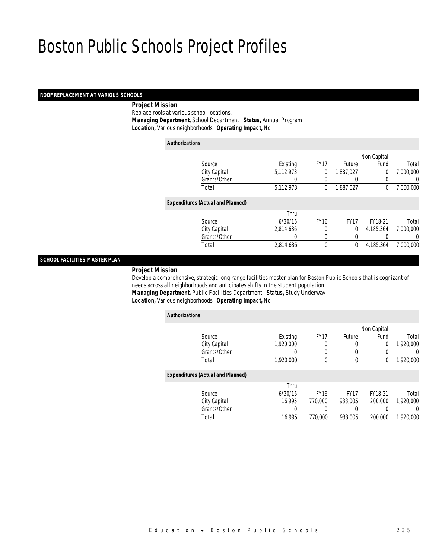#### *ROOF REPLACEMENT AT VARIOUS SCHOOLS*

#### *Project Mission*

 Replace roofs at various school locations. *Managing Department,* School Department *Status,* Annual Program*Location,* Various neighborhoods *Operating Impact,* No

| <b>Authorizations</b>                    |           |             |             |             |           |
|------------------------------------------|-----------|-------------|-------------|-------------|-----------|
|                                          |           |             |             | Non Capital |           |
| Source                                   | Existing  | <b>FY17</b> | Future      | Fund        | Total     |
| City Capital                             | 5,112,973 | 0           | 1,887,027   | 0           | 7.000.000 |
| Grants/Other                             | 0         | 0           | 0           | 0           | 0         |
| Total                                    | 5,112,973 | 0           | 1,887,027   | 0           | 7,000,000 |
| <b>Expenditures (Actual and Planned)</b> |           |             |             |             |           |
|                                          | Thru      |             |             |             |           |
| Source                                   | 6/30/15   | <b>FY16</b> | <b>FY17</b> | FY18-21     | Total     |
| City Capital                             | 2,814,636 | 0           | 0           | 4.185.364   | 7.000.000 |
| Grants/Other                             |           | 0           | 0           |             | 0         |
| Total                                    | 2,814,636 | 0           | 0           | 4,185,364   | 7.000.000 |

## *SCHOOL FACILITIES MASTER PLAN*

#### *Project Mission*

 Develop a comprehensive, strategic long-range facilities master plan for Boston Public Schools that is cognizant of needs across all neighborhoods and anticipates shifts in the student population. *Managing Department,* Public Facilities Department *Status,* Study Underway

## *Location,* Various neighborhoods *Operating Impact,* No

| <b>Authorizations</b>                    |           |             |             |             |           |
|------------------------------------------|-----------|-------------|-------------|-------------|-----------|
|                                          |           |             |             | Non Capital |           |
| Source                                   | Existing  | <b>FY17</b> | Future      | Fund        | Total     |
| City Capital                             | 1,920,000 | 0           | $\left($    | 0           | 1,920,000 |
| Grants/Other                             | 0         | 0           | 0           |             | $\Omega$  |
| Total                                    | 1,920,000 | 0           | $\theta$    | 0           | 1,920,000 |
| <b>Expenditures (Actual and Planned)</b> |           |             |             |             |           |
|                                          | Thru      |             |             |             |           |
| Source                                   | 6/30/15   | <b>FY16</b> | <b>FY17</b> | FY18-21     | Total     |
| City Capital                             | 16.995    | 770.000     | 933,005     | 200,000     | 1,920,000 |
| Grants/Other                             | 0         |             |             |             | $\left($  |
| Total                                    | 16,995    | 770.000     | 933.005     | 200,000     | 1.920.000 |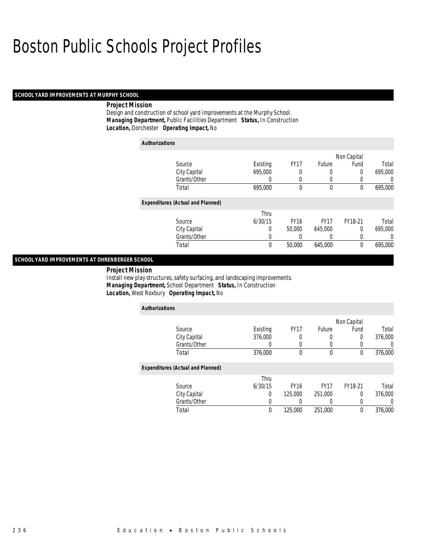#### *SCHOOL YARD IMPROVEMENTS AT MURPHY SCHOOL*

#### *Project Mission*

Design and construction of school yard improvements at the Murphy School. *Managing Department,* Public Facilities Department *Status,* In Construction*Location,* Dorchester *Operating Impact,* No

| <b>Authorizations</b>                    |          |             |             |                  |                |
|------------------------------------------|----------|-------------|-------------|------------------|----------------|
|                                          |          |             |             | Non Capital      |                |
| Source                                   | Existing | <b>FY17</b> | Future      | Fund             | Total          |
| City Capital                             | 695,000  | 0           | 0           | 0                | 695,000        |
| Grants/Other                             | $\left($ | $\left($    | 0           | $\left( \right)$ | 0              |
| Total                                    | 695,000  | 0           | 0           | 0                | 695,000        |
| <b>Expenditures (Actual and Planned)</b> |          |             |             |                  |                |
|                                          | Thru     |             |             |                  |                |
| Source                                   | 6/30/15  | <b>FY16</b> | <b>FY17</b> | FY18-21          | Total          |
| City Capital                             | 0        | 50,000      | 645,000     | 0                | 695,000        |
| Grants/Other                             | 0        | 0           | 0           | 0                | $\overline{0}$ |
| Total                                    | 0        | 50,000      | 645,000     | 0                | 695,000        |

## *SCHOOL YARD IMPROVEMENTS AT OHRENBERGER SCHOOL*

*Project Mission* 

Install new play structures, safety surfacing, and landscaping improvements. *Managing Department,* School Department *Status,* In Construction*Location,* West Roxbury *Operating Impact,* No

| <b>Authorizations</b>                    |          |             |             |             |         |
|------------------------------------------|----------|-------------|-------------|-------------|---------|
|                                          |          |             |             | Non Capital |         |
| Source                                   | Existing | <b>FY17</b> | Future      | Fund        | Total   |
| City Capital                             | 376,000  | 0           | 0           | 0           | 376,000 |
| Grants/Other                             |          | 0           | 0           | 0           |         |
| Total                                    | 376,000  | 0           | 0           | 0           | 376,000 |
| <b>Expenditures (Actual and Planned)</b> |          |             |             |             |         |
|                                          | Thru     |             |             |             |         |
| Source                                   | 6/30/15  | <b>FY16</b> | <b>FY17</b> | FY18-21     | Total   |
| City Capital                             | 0        | 125,000     | 251.000     | $\Omega$    | 376,000 |
| Grants/Other                             |          | 0           | 0           | 0           |         |
| Total                                    | $\theta$ | 125,000     | 251,000     | 0           | 376,000 |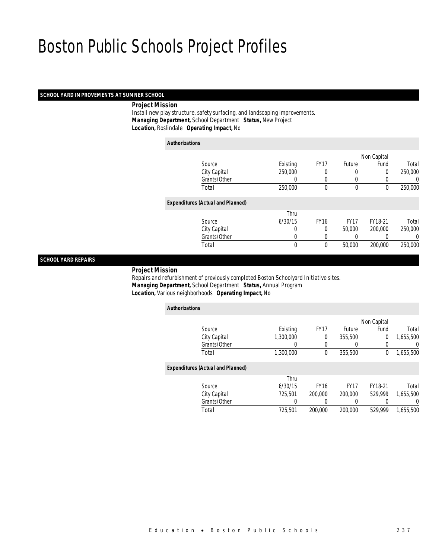## *SCHOOL YARD IMPROVEMENTS AT SUMNER SCHOOL*

*Project Mission*

 Install new play structure, safety surfacing, and landscaping improvements. *Managing Department,* School Department *Status,* New Project*Location,* Roslindale *Operating Impact,* No

| <b>Authorizations</b> |                                          |             |              |             |              |         |
|-----------------------|------------------------------------------|-------------|--------------|-------------|--------------|---------|
|                       |                                          |             |              |             | Non Capital  |         |
|                       | Source                                   | Existing    | <b>FY17</b>  | Future      | Fund         | Total   |
|                       | City Capital                             | 250,000     | 0            | 0           | 0            | 250,000 |
|                       | Grants/Other                             | $\left($    | 0            | 0           | 0            | 0       |
|                       | Total                                    | 250,000     | $\mathbf{0}$ | 0           | $\mathbf{0}$ | 250,000 |
|                       | <b>Expenditures (Actual and Planned)</b> |             |              |             |              |         |
|                       |                                          | Thru        |              |             |              |         |
|                       | Source                                   | 6/30/15     | <b>FY16</b>  | <b>FY17</b> | FY18-21      | Total   |
|                       | City Capital                             | 0           | $\theta$     | 50,000      | 200,000      | 250,000 |
|                       | Grants/Other                             | 0           | 0            |             | 0            | 0       |
|                       | Total                                    | $\mathbf 0$ | 0            | 50,000      | 200,000      | 250,000 |
|                       |                                          |             |              |             |              |         |

## *SCHOOL YARD REPAIRS*

#### *Project Mission*

 Repairs and refurbishment of previously completed Boston Schoolyard Initiative sites. *Managing Department,* School Department *Status,* Annual Program*Location,* Various neighborhoods *Operating Impact,* No

| <b>Authorizations</b>                    |           |             |               |             |           |
|------------------------------------------|-----------|-------------|---------------|-------------|-----------|
|                                          |           |             |               | Non Capital |           |
| Source                                   | Existing  | <b>FY17</b> | <b>Future</b> | Fund        | Total     |
| City Capital                             | 1,300,000 | 0           | 355,500       | 0           | 1.655.500 |
| Grants/Other                             | 0         |             |               | 0           | 0         |
| Total                                    | 1,300,000 | $\mathbf 0$ | 355,500       | 0           | 1,655,500 |
| <b>Expenditures (Actual and Planned)</b> |           |             |               |             |           |
|                                          | Thru      |             |               |             |           |
| Source                                   | 6/30/15   | <b>FY16</b> | <b>FY17</b>   | FY18-21     | Total     |
| City Capital                             | 725.501   | 200,000     | 200,000       | 529.999     | 1.655.500 |
| Grants/Other                             | 0         |             | 0             | 0           | $\left($  |
| Total                                    | 725,501   | 200,000     | 200,000       | 529.999     | 1.655.500 |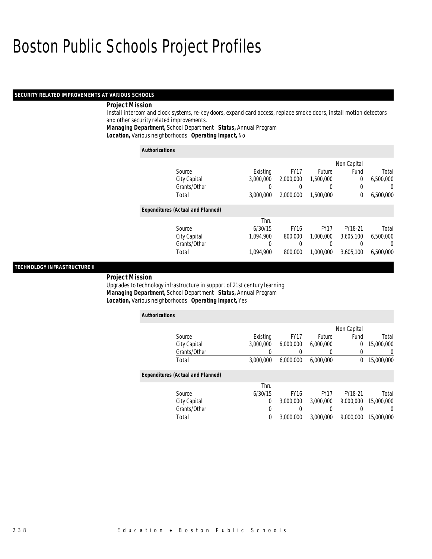#### *SECURITY RELATED IMPROVEMENTS AT VARIOUS SCHOOLS*

#### *Project Mission*

Install intercom and clock systems, re-key doors, expand card access, replace smoke doors, install motion detectors and other security related improvements.

*Managing Department,* School Department *Status,* Annual Program

*Location,* Various neighborhoods *Operating Impact,* No

| <b>Authorizations</b>                    |           |             |             |             |           |  |
|------------------------------------------|-----------|-------------|-------------|-------------|-----------|--|
|                                          |           |             |             | Non Capital |           |  |
| Source                                   | Existing  | <b>FY17</b> | Future      | Fund        | Total     |  |
| City Capital                             | 3.000.000 | 2,000,000   | 1,500,000   | 0           | 6,500,000 |  |
| Grants/Other                             |           |             |             | 0           | 0         |  |
| Total                                    | 3,000,000 | 2,000,000   | 1,500,000   | 0           | 6,500,000 |  |
| <b>Expenditures (Actual and Planned)</b> |           |             |             |             |           |  |
|                                          | Thru      |             |             |             |           |  |
| Source                                   | 6/30/15   | <b>FY16</b> | <b>FY17</b> | FY18-21     | Total     |  |
| City Capital                             | 1.094.900 | 800,000     | 1.000.000   | 3.605.100   | 6,500,000 |  |
| Grants/Other                             | 0         |             |             |             | 0         |  |
| Total                                    | 1.094.900 | 800,000     | 1.000.000   | 3.605.100   | 6,500,000 |  |

## *TECHNOLOGY INFRASTRUCTURE II*

#### *Project Mission*

Upgrades to technology infrastructure in support of 21st century learning. *Managing Department,* School Department *Status,* Annual Program*Location,* Various neighborhoods *Operating Impact,* Yes

| <b>Authorizations</b>                    |           |             |             |             |                  |  |
|------------------------------------------|-----------|-------------|-------------|-------------|------------------|--|
|                                          |           |             |             | Non Capital |                  |  |
| Source                                   | Existing  | <b>FY17</b> | Future      | Fund        | Total            |  |
| City Capital                             | 3.000.000 | 6.000.000   | 6,000,000   | 0           | 15,000,000       |  |
| Grants/Other                             | 0         | 0           |             | $\Omega$    | U                |  |
| Total                                    | 3,000,000 | 6.000.000   | 6,000,000   | 0           | 15,000,000       |  |
| <b>Expenditures (Actual and Planned)</b> |           |             |             |             |                  |  |
|                                          | Thru      |             |             |             |                  |  |
| Source                                   | 6/30/15   | <b>FY16</b> | <b>FY17</b> | FY18-21     | Total            |  |
| City Capital                             | 0         | 3,000,000   | 3,000,000   | 9,000,000   | 15,000,000       |  |
| Grants/Other                             | 0         |             |             |             | $\left( \right)$ |  |
| Total                                    | 0         | 3,000,000   | 3.000.000   | 9.000.000   | 15,000,000       |  |